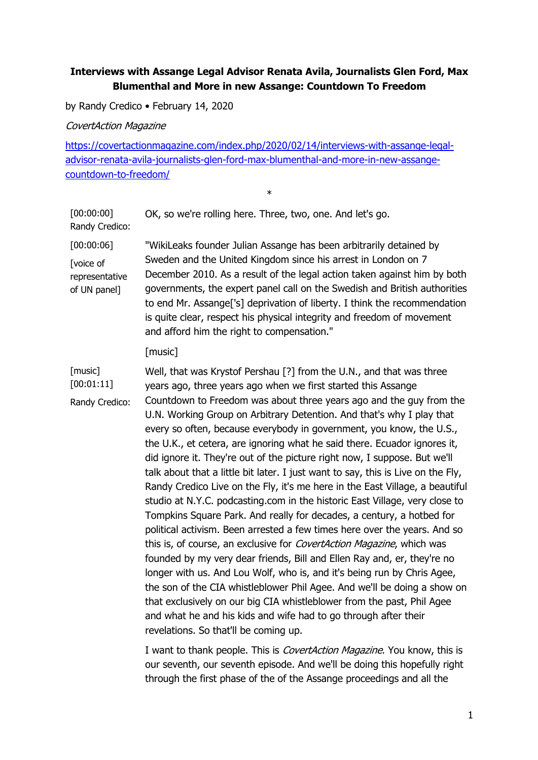## **Interviews with Assange Legal Advisor Renata Avila, Journalists Glen Ford, Max Blumenthal and More in new Assange: Countdown To Freedom**

by Randy Credico • February 14, 2020

CovertAction Magazine

https://covertactionmagazine.com/index.php/2020/02/14/interviews-with-assange-legaladvisor-renata-avila-journalists-glen-ford-max-blumenthal-and-more-in-new-assangecountdown-to-freedom/

\*

[00:00:00] Randy Credico: OK, so we're rolling here. Three, two, one. And let's go. [00:00:06] [voice of representative of UN panel] "WikiLeaks founder Julian Assange has been arbitrarily detained by Sweden and the United Kingdom since his arrest in London on 7 December 2010. As a result of the legal action taken against him by both governments, the expert panel call on the Swedish and British authorities to end Mr. Assange['s] deprivation of liberty. I think the recommendation is quite clear, respect his physical integrity and freedom of movement and afford him the right to compensation." [music] [music] [00:01:11] Randy Credico: Well, that was Krystof Pershau [?] from the U.N., and that was three years ago, three years ago when we first started this Assange Countdown to Freedom was about three years ago and the guy from the U.N. Working Group on Arbitrary Detention. And that's why I play that every so often, because everybody in government, you know, the U.S., the U.K., et cetera, are ignoring what he said there. Ecuador ignores it, did ignore it. They're out of the picture right now, I suppose. But we'll talk about that a little bit later. I just want to say, this is Live on the Fly, Randy Credico Live on the Fly, it's me here in the East Village, a beautiful studio at N.Y.C. podcasting.com in the historic East Village, very close to Tompkins Square Park. And really for decades, a century, a hotbed for political activism. Been arrested a few times here over the years. And so this is, of course, an exclusive for *CovertAction Magazine*, which was founded by my very dear friends, Bill and Ellen Ray and, er, they're no longer with us. And Lou Wolf, who is, and it's being run by Chris Agee, the son of the CIA whistleblower Phil Agee. And we'll be doing a show on that exclusively on our big CIA whistleblower from the past, Phil Agee and what he and his kids and wife had to go through after their revelations. So that'll be coming up.

I want to thank people. This is *CovertAction Magazine*. You know, this is our seventh, our seventh episode. And we'll be doing this hopefully right through the first phase of the of the Assange proceedings and all the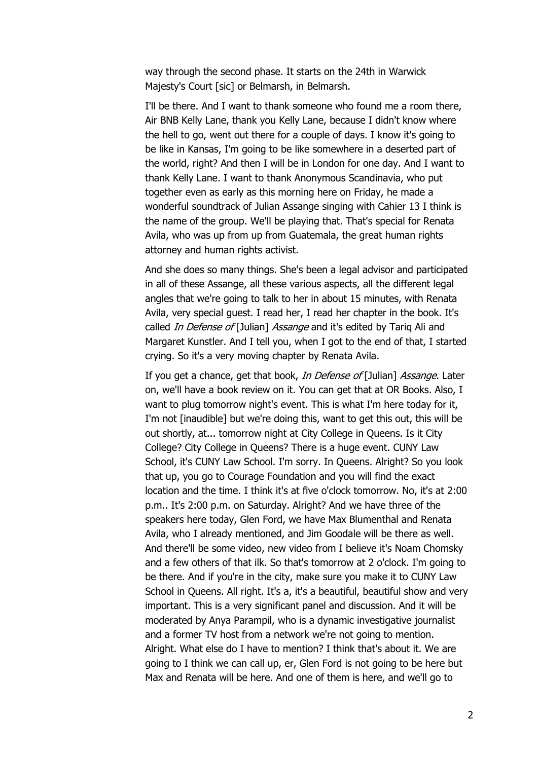way through the second phase. It starts on the 24th in Warwick Majesty's Court [sic] or Belmarsh, in Belmarsh.

I'll be there. And I want to thank someone who found me a room there, Air BNB Kelly Lane, thank you Kelly Lane, because I didn't know where the hell to go, went out there for a couple of days. I know it's going to be like in Kansas, I'm going to be like somewhere in a deserted part of the world, right? And then I will be in London for one day. And I want to thank Kelly Lane. I want to thank Anonymous Scandinavia, who put together even as early as this morning here on Friday, he made a wonderful soundtrack of Julian Assange singing with Cahier 13 I think is the name of the group. We'll be playing that. That's special for Renata Avila, who was up from up from Guatemala, the great human rights attorney and human rights activist.

And she does so many things. She's been a legal advisor and participated in all of these Assange, all these various aspects, all the different legal angles that we're going to talk to her in about 15 minutes, with Renata Avila, very special guest. I read her, I read her chapter in the book. It's called *In Defense of* [Julian] Assange and it's edited by Tarig Ali and Margaret Kunstler. And I tell you, when I got to the end of that, I started crying. So it's a very moving chapter by Renata Avila.

If you get a chance, get that book, In Defense of [Julian] Assange. Later on, we'll have a book review on it. You can get that at OR Books. Also, I want to plug tomorrow night's event. This is what I'm here today for it, I'm not [inaudible] but we're doing this, want to get this out, this will be out shortly, at... tomorrow night at City College in Queens. Is it City College? City College in Queens? There is a huge event. CUNY Law School, it's CUNY Law School. I'm sorry. In Queens. Alright? So you look that up, you go to Courage Foundation and you will find the exact location and the time. I think it's at five o'clock tomorrow. No, it's at 2:00 p.m.. It's 2:00 p.m. on Saturday. Alright? And we have three of the speakers here today, Glen Ford, we have Max Blumenthal and Renata Avila, who I already mentioned, and Jim Goodale will be there as well. And there'll be some video, new video from I believe it's Noam Chomsky and a few others of that ilk. So that's tomorrow at 2 o'clock. I'm going to be there. And if you're in the city, make sure you make it to CUNY Law School in Queens. All right. It's a, it's a beautiful, beautiful show and very important. This is a very significant panel and discussion. And it will be moderated by Anya Parampil, who is a dynamic investigative journalist and a former TV host from a network we're not going to mention. Alright. What else do I have to mention? I think that's about it. We are going to I think we can call up, er, Glen Ford is not going to be here but Max and Renata will be here. And one of them is here, and we'll go to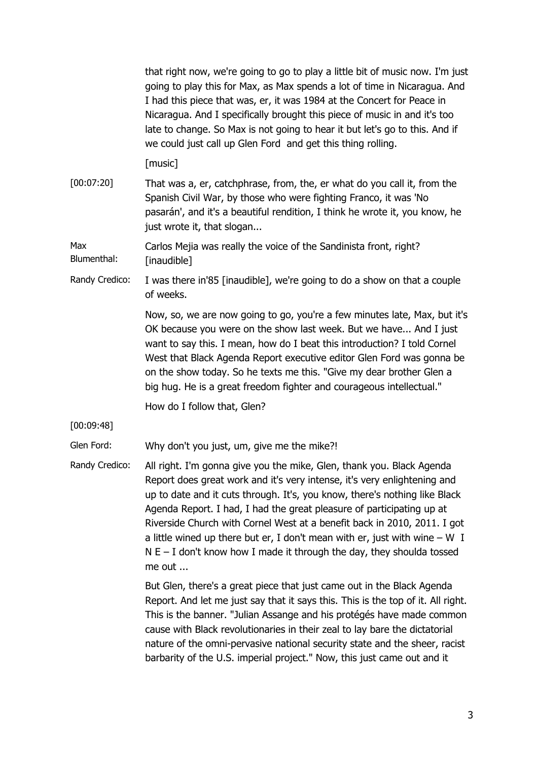that right now, we're going to go to play a little bit of music now. I'm just going to play this for Max, as Max spends a lot of time in Nicaragua. And I had this piece that was, er, it was 1984 at the Concert for Peace in Nicaragua. And I specifically brought this piece of music in and it's too late to change. So Max is not going to hear it but let's go to this. And if we could just call up Glen Ford and get this thing rolling.

[music]

[00:07:20] That was a, er, catchphrase, from, the, er what do you call it, from the Spanish Civil War, by those who were fighting Franco, it was 'No pasarán', and it's a beautiful rendition, I think he wrote it, you know, he just wrote it, that slogan...

Max Blumenthal: Carlos Mejia was really the voice of the Sandinista front, right? [inaudible]

Randy Credico: I was there in'85 [inaudible], we're going to do a show on that a couple of weeks.

> Now, so, we are now going to go, you're a few minutes late, Max, but it's OK because you were on the show last week. But we have... And I just want to say this. I mean, how do I beat this introduction? I told Cornel West that Black Agenda Report executive editor Glen Ford was gonna be on the show today. So he texts me this. "Give my dear brother Glen a big hug. He is a great freedom fighter and courageous intellectual."

How do I follow that, Glen?

[00:09:48]

Glen Ford: Why don't you just, um, give me the mike?!

Randy Credico: All right. I'm gonna give you the mike, Glen, thank you. Black Agenda Report does great work and it's very intense, it's very enlightening and up to date and it cuts through. It's, you know, there's nothing like Black Agenda Report. I had, I had the great pleasure of participating up at Riverside Church with Cornel West at a benefit back in 2010, 2011. I got a little wined up there but er, I don't mean with er, just with wine  $- W I$  $N E - I$  don't know how I made it through the day, they shoulda tossed me out ...

> But Glen, there's a great piece that just came out in the Black Agenda Report. And let me just say that it says this. This is the top of it. All right. This is the banner. "Julian Assange and his protégés have made common cause with Black revolutionaries in their zeal to lay bare the dictatorial nature of the omni-pervasive national security state and the sheer, racist barbarity of the U.S. imperial project." Now, this just came out and it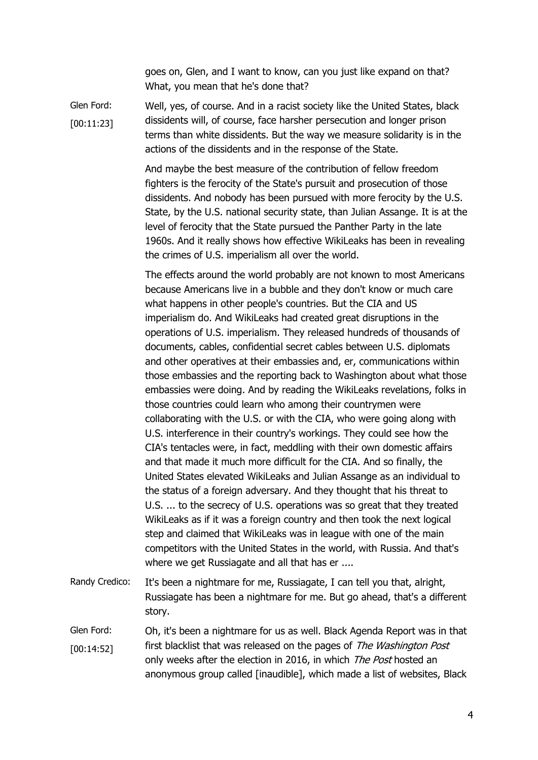goes on, Glen, and I want to know, can you just like expand on that? What, you mean that he's done that?

Glen Ford: [00:11:23] Well, yes, of course. And in a racist society like the United States, black dissidents will, of course, face harsher persecution and longer prison terms than white dissidents. But the way we measure solidarity is in the actions of the dissidents and in the response of the State.

> And maybe the best measure of the contribution of fellow freedom fighters is the ferocity of the State's pursuit and prosecution of those dissidents. And nobody has been pursued with more ferocity by the U.S. State, by the U.S. national security state, than Julian Assange. It is at the level of ferocity that the State pursued the Panther Party in the late 1960s. And it really shows how effective WikiLeaks has been in revealing the crimes of U.S. imperialism all over the world.

The effects around the world probably are not known to most Americans because Americans live in a bubble and they don't know or much care what happens in other people's countries. But the CIA and US imperialism do. And WikiLeaks had created great disruptions in the operations of U.S. imperialism. They released hundreds of thousands of documents, cables, confidential secret cables between U.S. diplomats and other operatives at their embassies and, er, communications within those embassies and the reporting back to Washington about what those embassies were doing. And by reading the WikiLeaks revelations, folks in those countries could learn who among their countrymen were collaborating with the U.S. or with the CIA, who were going along with U.S. interference in their country's workings. They could see how the CIA's tentacles were, in fact, meddling with their own domestic affairs and that made it much more difficult for the CIA. And so finally, the United States elevated WikiLeaks and Julian Assange as an individual to the status of a foreign adversary. And they thought that his threat to U.S. ... to the secrecy of U.S. operations was so great that they treated WikiLeaks as if it was a foreign country and then took the next logical step and claimed that WikiLeaks was in league with one of the main competitors with the United States in the world, with Russia. And that's where we get Russiagate and all that has er ....

- Randy Credico: It's been a nightmare for me, Russiagate, I can tell you that, alright, Russiagate has been a nightmare for me. But go ahead, that's a different story.
- Glen Ford: [00:14:52] Oh, it's been a nightmare for us as well. Black Agenda Report was in that first blacklist that was released on the pages of The Washington Post only weeks after the election in 2016, in which The Post hosted an anonymous group called [inaudible], which made a list of websites, Black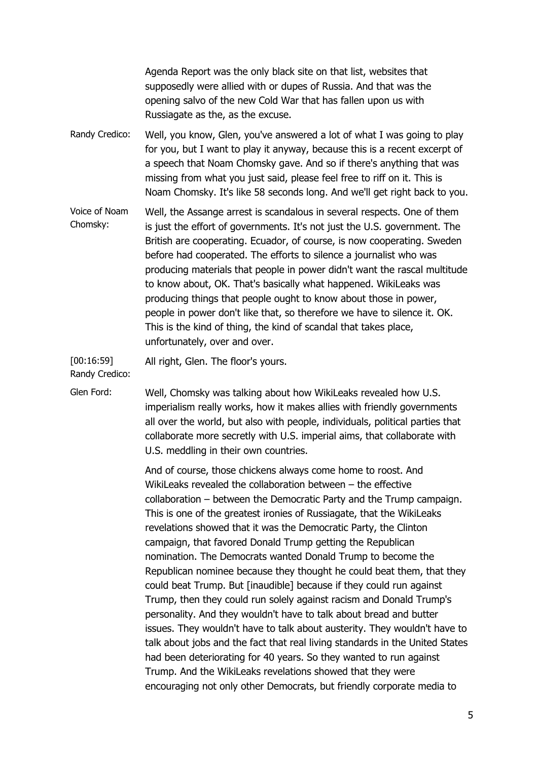Agenda Report was the only black site on that list, websites that supposedly were allied with or dupes of Russia. And that was the opening salvo of the new Cold War that has fallen upon us with Russiagate as the, as the excuse.

- Randy Credico: Well, you know, Glen, you've answered a lot of what I was going to play for you, but I want to play it anyway, because this is a recent excerpt of a speech that Noam Chomsky gave. And so if there's anything that was missing from what you just said, please feel free to riff on it. This is Noam Chomsky. It's like 58 seconds long. And we'll get right back to you.
- Voice of Noam Chomsky: Well, the Assange arrest is scandalous in several respects. One of them is just the effort of governments. It's not just the U.S. government. The British are cooperating. Ecuador, of course, is now cooperating. Sweden before had cooperated. The efforts to silence a journalist who was producing materials that people in power didn't want the rascal multitude to know about, OK. That's basically what happened. WikiLeaks was producing things that people ought to know about those in power, people in power don't like that, so therefore we have to silence it. OK. This is the kind of thing, the kind of scandal that takes place, unfortunately, over and over.

[00:16:59] All right, Glen. The floor's yours.

Randy Credico:

Glen Ford: Well, Chomsky was talking about how WikiLeaks revealed how U.S. imperialism really works, how it makes allies with friendly governments all over the world, but also with people, individuals, political parties that collaborate more secretly with U.S. imperial aims, that collaborate with U.S. meddling in their own countries.

> And of course, those chickens always come home to roost. And WikiLeaks revealed the collaboration between – the effective collaboration – between the Democratic Party and the Trump campaign. This is one of the greatest ironies of Russiagate, that the WikiLeaks revelations showed that it was the Democratic Party, the Clinton campaign, that favored Donald Trump getting the Republican nomination. The Democrats wanted Donald Trump to become the Republican nominee because they thought he could beat them, that they could beat Trump. But [inaudible] because if they could run against Trump, then they could run solely against racism and Donald Trump's personality. And they wouldn't have to talk about bread and butter issues. They wouldn't have to talk about austerity. They wouldn't have to talk about jobs and the fact that real living standards in the United States had been deteriorating for 40 years. So they wanted to run against Trump. And the WikiLeaks revelations showed that they were encouraging not only other Democrats, but friendly corporate media to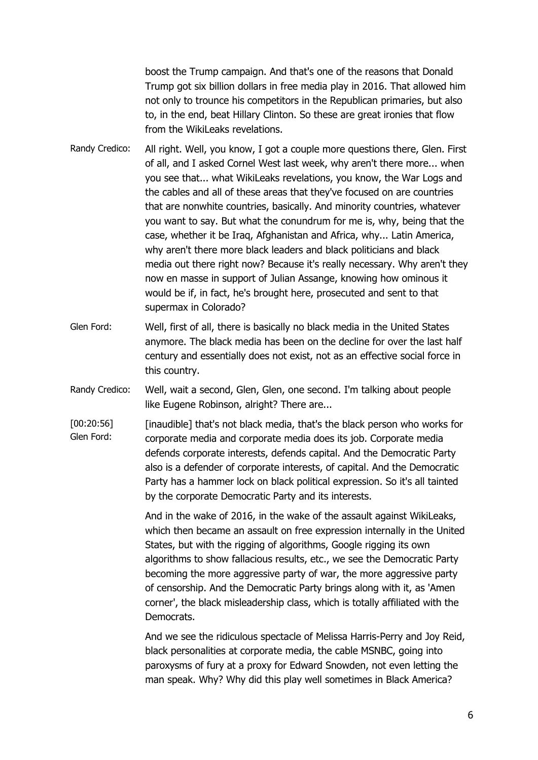boost the Trump campaign. And that's one of the reasons that Donald Trump got six billion dollars in free media play in 2016. That allowed him not only to trounce his competitors in the Republican primaries, but also to, in the end, beat Hillary Clinton. So these are great ironies that flow from the WikiLeaks revelations.

- Randy Credico: All right. Well, you know, I got a couple more questions there, Glen. First of all, and I asked Cornel West last week, why aren't there more... when you see that... what WikiLeaks revelations, you know, the War Logs and the cables and all of these areas that they've focused on are countries that are nonwhite countries, basically. And minority countries, whatever you want to say. But what the conundrum for me is, why, being that the case, whether it be Iraq, Afghanistan and Africa, why... Latin America, why aren't there more black leaders and black politicians and black media out there right now? Because it's really necessary. Why aren't they now en masse in support of Julian Assange, knowing how ominous it would be if, in fact, he's brought here, prosecuted and sent to that supermax in Colorado?
- Glen Ford: Well, first of all, there is basically no black media in the United States anymore. The black media has been on the decline for over the last half century and essentially does not exist, not as an effective social force in this country.
- Randy Credico: Well, wait a second, Glen, Glen, one second. I'm talking about people like Eugene Robinson, alright? There are...
- [00:20:56] Glen Ford: [inaudible] that's not black media, that's the black person who works for corporate media and corporate media does its job. Corporate media defends corporate interests, defends capital. And the Democratic Party also is a defender of corporate interests, of capital. And the Democratic Party has a hammer lock on black political expression. So it's all tainted by the corporate Democratic Party and its interests.

And in the wake of 2016, in the wake of the assault against WikiLeaks, which then became an assault on free expression internally in the United States, but with the rigging of algorithms, Google rigging its own algorithms to show fallacious results, etc., we see the Democratic Party becoming the more aggressive party of war, the more aggressive party of censorship. And the Democratic Party brings along with it, as 'Amen corner', the black misleadership class, which is totally affiliated with the Democrats.

And we see the ridiculous spectacle of Melissa Harris-Perry and Joy Reid, black personalities at corporate media, the cable MSNBC, going into paroxysms of fury at a proxy for Edward Snowden, not even letting the man speak. Why? Why did this play well sometimes in Black America?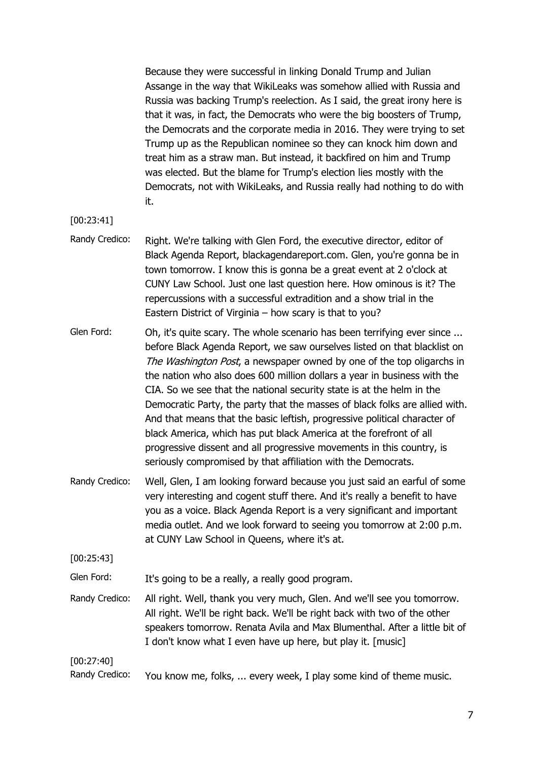Because they were successful in linking Donald Trump and Julian Assange in the way that WikiLeaks was somehow allied with Russia and Russia was backing Trump's reelection. As I said, the great irony here is that it was, in fact, the Democrats who were the big boosters of Trump, the Democrats and the corporate media in 2016. They were trying to set Trump up as the Republican nominee so they can knock him down and treat him as a straw man. But instead, it backfired on him and Trump was elected. But the blame for Trump's election lies mostly with the Democrats, not with WikiLeaks, and Russia really had nothing to do with it.

- [00:23:41]
- Randy Credico: Right. We're talking with Glen Ford, the executive director, editor of Black Agenda Report, blackagendareport.com. Glen, you're gonna be in town tomorrow. I know this is gonna be a great event at 2 o'clock at CUNY Law School. Just one last question here. How ominous is it? The repercussions with a successful extradition and a show trial in the Eastern District of Virginia – how scary is that to you?

Glen Ford: Oh, it's quite scary. The whole scenario has been terrifying ever since ... before Black Agenda Report, we saw ourselves listed on that blacklist on The Washington Post, a newspaper owned by one of the top oligarchs in the nation who also does 600 million dollars a year in business with the CIA. So we see that the national security state is at the helm in the Democratic Party, the party that the masses of black folks are allied with. And that means that the basic leftish, progressive political character of black America, which has put black America at the forefront of all progressive dissent and all progressive movements in this country, is seriously compromised by that affiliation with the Democrats.

Randy Credico: Well, Glen, I am looking forward because you just said an earful of some very interesting and cogent stuff there. And it's really a benefit to have you as a voice. Black Agenda Report is a very significant and important media outlet. And we look forward to seeing you tomorrow at 2:00 p.m. at CUNY Law School in Queens, where it's at.

[00:25:43]

Glen Ford: It's going to be a really, a really good program.

Randy Credico: All right. Well, thank you very much, Glen. And we'll see you tomorrow. All right. We'll be right back. We'll be right back with two of the other speakers tomorrow. Renata Avila and Max Blumenthal. After a little bit of I don't know what I even have up here, but play it. [music]

[00:27:40]

Randy Credico: You know me, folks, ... every week, I play some kind of theme music.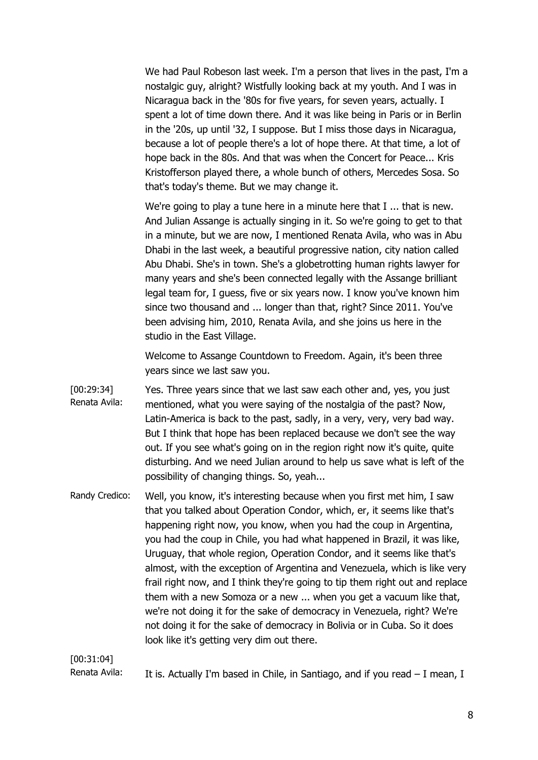We had Paul Robeson last week. I'm a person that lives in the past, I'm a nostalgic guy, alright? Wistfully looking back at my youth. And I was in Nicaragua back in the '80s for five years, for seven years, actually. I spent a lot of time down there. And it was like being in Paris or in Berlin in the '20s, up until '32, I suppose. But I miss those days in Nicaragua, because a lot of people there's a lot of hope there. At that time, a lot of hope back in the 80s. And that was when the Concert for Peace... Kris Kristofferson played there, a whole bunch of others, Mercedes Sosa. So that's today's theme. But we may change it.

We're going to play a tune here in a minute here that I ... that is new. And Julian Assange is actually singing in it. So we're going to get to that in a minute, but we are now, I mentioned Renata Avila, who was in Abu Dhabi in the last week, a beautiful progressive nation, city nation called Abu Dhabi. She's in town. She's a globetrotting human rights lawyer for many years and she's been connected legally with the Assange brilliant legal team for, I guess, five or six years now. I know you've known him since two thousand and ... longer than that, right? Since 2011. You've been advising him, 2010, Renata Avila, and she joins us here in the studio in the East Village.

Welcome to Assange Countdown to Freedom. Again, it's been three years since we last saw you.

- [00:29:34] Renata Avila: Yes. Three years since that we last saw each other and, yes, you just mentioned, what you were saying of the nostalgia of the past? Now, Latin-America is back to the past, sadly, in a very, very, very bad way. But I think that hope has been replaced because we don't see the way out. If you see what's going on in the region right now it's quite, quite disturbing. And we need Julian around to help us save what is left of the possibility of changing things. So, yeah...
- Randy Credico: Well, you know, it's interesting because when you first met him, I saw that you talked about Operation Condor, which, er, it seems like that's happening right now, you know, when you had the coup in Argentina, you had the coup in Chile, you had what happened in Brazil, it was like, Uruguay, that whole region, Operation Condor, and it seems like that's almost, with the exception of Argentina and Venezuela, which is like very frail right now, and I think they're going to tip them right out and replace them with a new Somoza or a new ... when you get a vacuum like that, we're not doing it for the sake of democracy in Venezuela, right? We're not doing it for the sake of democracy in Bolivia or in Cuba. So it does look like it's getting very dim out there.

[00:31:04]

Renata Avila: It is. Actually I'm based in Chile, in Santiago, and if you read  $-$  I mean, I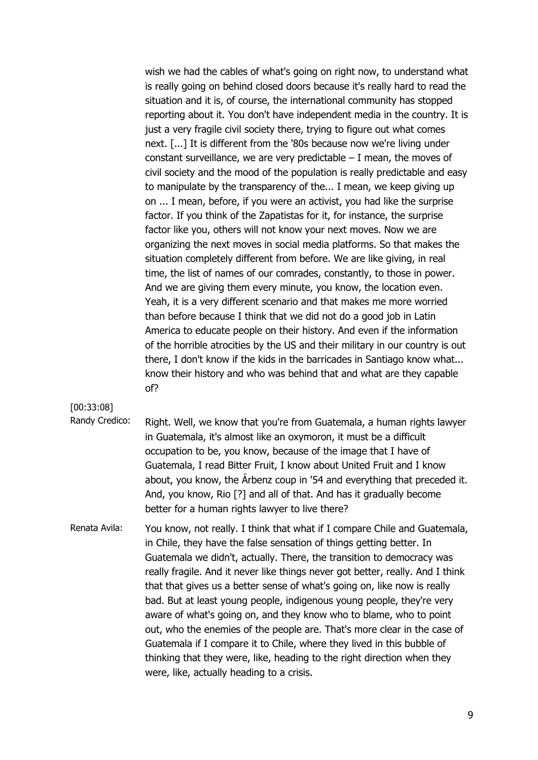wish we had the cables of what's going on right now, to understand what is really going on behind closed doors because it's really hard to read the situation and it is, of course, the international community has stopped reporting about it. You don't have independent media in the country. It is just a very fragile civil society there, trying to figure out what comes next. [...] It is different from the '80s because now we're living under constant surveillance, we are very predictable  $-$  I mean, the moves of civil society and the mood of the population is really predictable and easy to manipulate by the transparency of the... I mean, we keep giving up on ... I mean, before, if you were an activist, you had like the surprise factor. If you think of the Zapatistas for it, for instance, the surprise factor like you, others will not know your next moves. Now we are organizing the next moves in social media platforms. So that makes the situation completely different from before. We are like giving, in real time, the list of names of our comrades, constantly, to those in power. And we are giving them every minute, you know, the location even. Yeah, it is a very different scenario and that makes me more worried than before because I think that we did not do a good job in Latin America to educate people on their history. And even if the information of the horrible atrocities by the US and their military in our country is out there, I don't know if the kids in the barricades in Santiago know what... know their history and who was behind that and what are they capable of?

[00:33:08]

- Randy Credico: Right. Well, we know that you're from Guatemala, a human rights lawyer in Guatemala, it's almost like an oxymoron, it must be a difficult occupation to be, you know, because of the image that I have of Guatemala, I read Bitter Fruit, I know about United Fruit and I know about, you know, the Árbenz coup in '54 and everything that preceded it. And, you know, Rio [?] and all of that. And has it gradually become better for a human rights lawyer to live there?
- Renata Avila: You know, not really. I think that what if I compare Chile and Guatemala, in Chile, they have the false sensation of things getting better. In Guatemala we didn't, actually. There, the transition to democracy was really fragile. And it never like things never got better, really. And I think that that gives us a better sense of what's going on, like now is really bad. But at least young people, indigenous young people, they're very aware of what's going on, and they know who to blame, who to point out, who the enemies of the people are. That's more clear in the case of Guatemala if I compare it to Chile, where they lived in this bubble of thinking that they were, like, heading to the right direction when they were, like, actually heading to a crisis.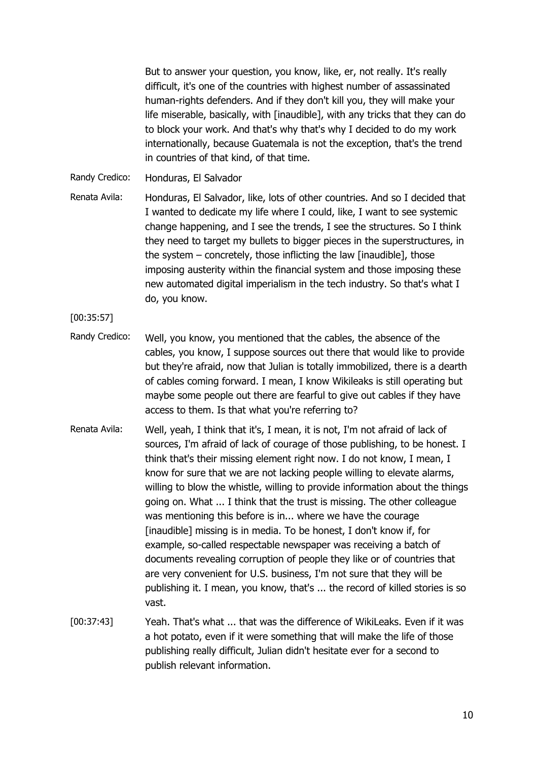But to answer your question, you know, like, er, not really. It's really difficult, it's one of the countries with highest number of assassinated human-rights defenders. And if they don't kill you, they will make your life miserable, basically, with [inaudible], with any tricks that they can do to block your work. And that's why that's why I decided to do my work internationally, because Guatemala is not the exception, that's the trend in countries of that kind, of that time.

Randy Credico: Honduras, El Salvador

Renata Avila: Honduras, El Salvador, like, lots of other countries. And so I decided that I wanted to dedicate my life where I could, like, I want to see systemic change happening, and I see the trends, I see the structures. So I think they need to target my bullets to bigger pieces in the superstructures, in the system – concretely, those inflicting the law [inaudible], those imposing austerity within the financial system and those imposing these new automated digital imperialism in the tech industry. So that's what I do, you know.

[00:35:57]

- Randy Credico: Well, you know, you mentioned that the cables, the absence of the cables, you know, I suppose sources out there that would like to provide but they're afraid, now that Julian is totally immobilized, there is a dearth of cables coming forward. I mean, I know Wikileaks is still operating but maybe some people out there are fearful to give out cables if they have access to them. Is that what you're referring to?
- Renata Avila: Well, yeah, I think that it's, I mean, it is not, I'm not afraid of lack of sources, I'm afraid of lack of courage of those publishing, to be honest. I think that's their missing element right now. I do not know, I mean, I know for sure that we are not lacking people willing to elevate alarms, willing to blow the whistle, willing to provide information about the things going on. What ... I think that the trust is missing. The other colleague was mentioning this before is in... where we have the courage [inaudible] missing is in media. To be honest, I don't know if, for example, so-called respectable newspaper was receiving a batch of documents revealing corruption of people they like or of countries that are very convenient for U.S. business, I'm not sure that they will be publishing it. I mean, you know, that's ... the record of killed stories is so vast.
- [00:37:43] Yeah. That's what ... that was the difference of WikiLeaks. Even if it was a hot potato, even if it were something that will make the life of those publishing really difficult, Julian didn't hesitate ever for a second to publish relevant information.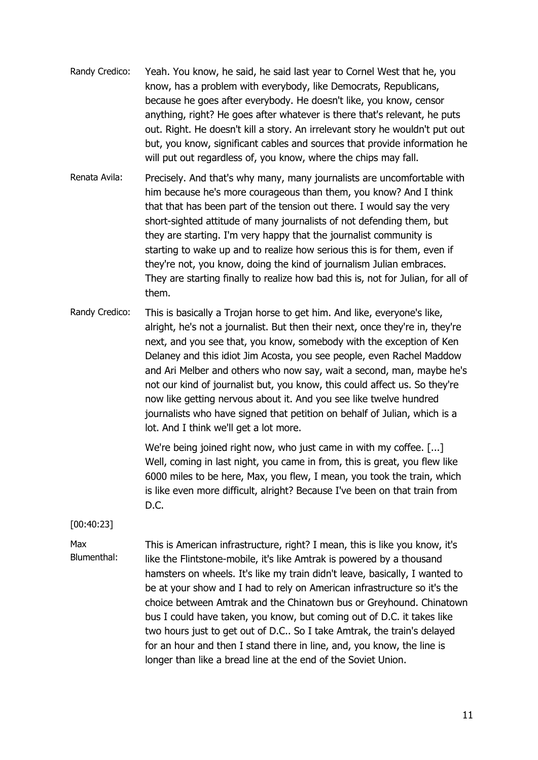- Randy Credico: Yeah. You know, he said, he said last year to Cornel West that he, you know, has a problem with everybody, like Democrats, Republicans, because he goes after everybody. He doesn't like, you know, censor anything, right? He goes after whatever is there that's relevant, he puts out. Right. He doesn't kill a story. An irrelevant story he wouldn't put out but, you know, significant cables and sources that provide information he will put out regardless of, you know, where the chips may fall.
- Renata Avila: Precisely. And that's why many, many journalists are uncomfortable with him because he's more courageous than them, you know? And I think that that has been part of the tension out there. I would say the very short-sighted attitude of many journalists of not defending them, but they are starting. I'm very happy that the journalist community is starting to wake up and to realize how serious this is for them, even if they're not, you know, doing the kind of journalism Julian embraces. They are starting finally to realize how bad this is, not for Julian, for all of them.
- Randy Credico: This is basically a Trojan horse to get him. And like, everyone's like, alright, he's not a journalist. But then their next, once they're in, they're next, and you see that, you know, somebody with the exception of Ken Delaney and this idiot Jim Acosta, you see people, even Rachel Maddow and Ari Melber and others who now say, wait a second, man, maybe he's not our kind of journalist but, you know, this could affect us. So they're now like getting nervous about it. And you see like twelve hundred journalists who have signed that petition on behalf of Julian, which is a lot. And I think we'll get a lot more.

We're being joined right now, who just came in with my coffee. [...] Well, coming in last night, you came in from, this is great, you flew like 6000 miles to be here, Max, you flew, I mean, you took the train, which is like even more difficult, alright? Because I've been on that train from D.C.

[00:40:23]

Max

Blumenthal:

This is American infrastructure, right? I mean, this is like you know, it's like the Flintstone-mobile, it's like Amtrak is powered by a thousand hamsters on wheels. It's like my train didn't leave, basically, I wanted to be at your show and I had to rely on American infrastructure so it's the choice between Amtrak and the Chinatown bus or Greyhound. Chinatown bus I could have taken, you know, but coming out of D.C. it takes like two hours just to get out of D.C.. So I take Amtrak, the train's delayed for an hour and then I stand there in line, and, you know, the line is longer than like a bread line at the end of the Soviet Union.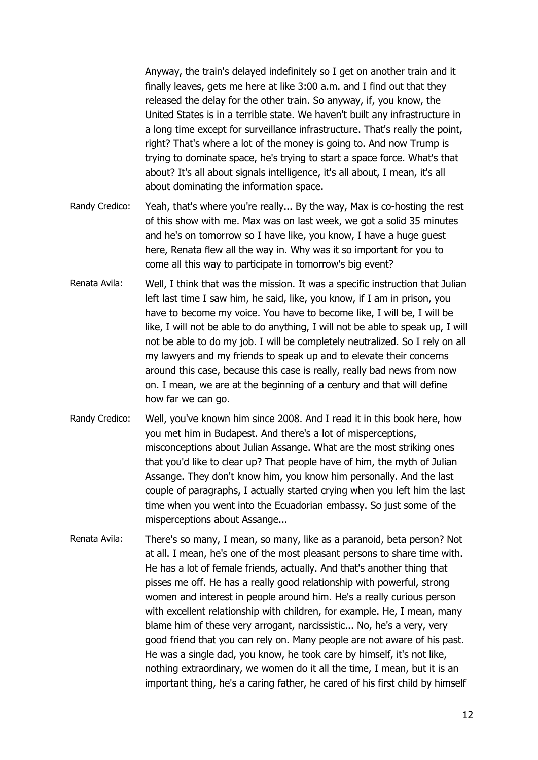Anyway, the train's delayed indefinitely so I get on another train and it finally leaves, gets me here at like 3:00 a.m. and I find out that they released the delay for the other train. So anyway, if, you know, the United States is in a terrible state. We haven't built any infrastructure in a long time except for surveillance infrastructure. That's really the point, right? That's where a lot of the money is going to. And now Trump is trying to dominate space, he's trying to start a space force. What's that about? It's all about signals intelligence, it's all about, I mean, it's all about dominating the information space.

- Randy Credico: Yeah, that's where you're really... By the way, Max is co-hosting the rest of this show with me. Max was on last week, we got a solid 35 minutes and he's on tomorrow so I have like, you know, I have a huge guest here, Renata flew all the way in. Why was it so important for you to come all this way to participate in tomorrow's big event?
- Renata Avila: Well, I think that was the mission. It was a specific instruction that Julian left last time I saw him, he said, like, you know, if I am in prison, you have to become my voice. You have to become like, I will be, I will be like, I will not be able to do anything, I will not be able to speak up, I will not be able to do my job. I will be completely neutralized. So I rely on all my lawyers and my friends to speak up and to elevate their concerns around this case, because this case is really, really bad news from now on. I mean, we are at the beginning of a century and that will define how far we can go.
- Randy Credico: Well, you've known him since 2008. And I read it in this book here, how you met him in Budapest. And there's a lot of misperceptions, misconceptions about Julian Assange. What are the most striking ones that you'd like to clear up? That people have of him, the myth of Julian Assange. They don't know him, you know him personally. And the last couple of paragraphs, I actually started crying when you left him the last time when you went into the Ecuadorian embassy. So just some of the misperceptions about Assange...
- Renata Avila: There's so many, I mean, so many, like as a paranoid, beta person? Not at all. I mean, he's one of the most pleasant persons to share time with. He has a lot of female friends, actually. And that's another thing that pisses me off. He has a really good relationship with powerful, strong women and interest in people around him. He's a really curious person with excellent relationship with children, for example. He, I mean, many blame him of these very arrogant, narcissistic... No, he's a very, very good friend that you can rely on. Many people are not aware of his past. He was a single dad, you know, he took care by himself, it's not like, nothing extraordinary, we women do it all the time, I mean, but it is an important thing, he's a caring father, he cared of his first child by himself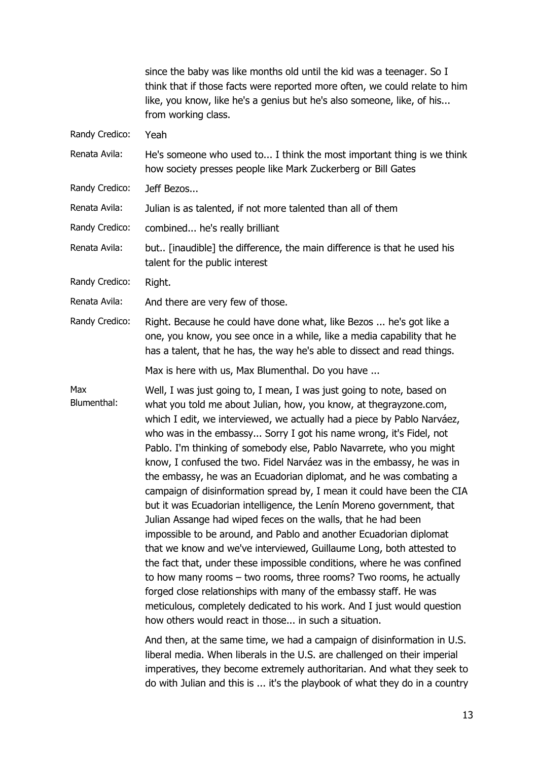|                    | since the baby was like months old until the kid was a teenager. So I<br>think that if those facts were reported more often, we could relate to him<br>like, you know, like he's a genius but he's also someone, like, of his<br>from working class.                                                                                                                                                                                                                                                                                                                                                                                                                                                                                                                                                                                                                                                                                                                                                                                                                                                                                                                                                                                             |
|--------------------|--------------------------------------------------------------------------------------------------------------------------------------------------------------------------------------------------------------------------------------------------------------------------------------------------------------------------------------------------------------------------------------------------------------------------------------------------------------------------------------------------------------------------------------------------------------------------------------------------------------------------------------------------------------------------------------------------------------------------------------------------------------------------------------------------------------------------------------------------------------------------------------------------------------------------------------------------------------------------------------------------------------------------------------------------------------------------------------------------------------------------------------------------------------------------------------------------------------------------------------------------|
| Randy Credico:     | Yeah                                                                                                                                                                                                                                                                                                                                                                                                                                                                                                                                                                                                                                                                                                                                                                                                                                                                                                                                                                                                                                                                                                                                                                                                                                             |
| Renata Avila:      | He's someone who used to I think the most important thing is we think<br>how society presses people like Mark Zuckerberg or Bill Gates                                                                                                                                                                                                                                                                                                                                                                                                                                                                                                                                                                                                                                                                                                                                                                                                                                                                                                                                                                                                                                                                                                           |
| Randy Credico:     | Jeff Bezos                                                                                                                                                                                                                                                                                                                                                                                                                                                                                                                                                                                                                                                                                                                                                                                                                                                                                                                                                                                                                                                                                                                                                                                                                                       |
| Renata Avila:      | Julian is as talented, if not more talented than all of them                                                                                                                                                                                                                                                                                                                                                                                                                                                                                                                                                                                                                                                                                                                                                                                                                                                                                                                                                                                                                                                                                                                                                                                     |
| Randy Credico:     | combined he's really brilliant                                                                                                                                                                                                                                                                                                                                                                                                                                                                                                                                                                                                                                                                                                                                                                                                                                                                                                                                                                                                                                                                                                                                                                                                                   |
| Renata Avila:      | but [inaudible] the difference, the main difference is that he used his<br>talent for the public interest                                                                                                                                                                                                                                                                                                                                                                                                                                                                                                                                                                                                                                                                                                                                                                                                                                                                                                                                                                                                                                                                                                                                        |
| Randy Credico:     | Right.                                                                                                                                                                                                                                                                                                                                                                                                                                                                                                                                                                                                                                                                                                                                                                                                                                                                                                                                                                                                                                                                                                                                                                                                                                           |
| Renata Avila:      | And there are very few of those.                                                                                                                                                                                                                                                                                                                                                                                                                                                                                                                                                                                                                                                                                                                                                                                                                                                                                                                                                                                                                                                                                                                                                                                                                 |
| Randy Credico:     | Right. Because he could have done what, like Bezos  he's got like a<br>one, you know, you see once in a while, like a media capability that he<br>has a talent, that he has, the way he's able to dissect and read things.                                                                                                                                                                                                                                                                                                                                                                                                                                                                                                                                                                                                                                                                                                                                                                                                                                                                                                                                                                                                                       |
|                    | Max is here with us, Max Blumenthal. Do you have                                                                                                                                                                                                                                                                                                                                                                                                                                                                                                                                                                                                                                                                                                                                                                                                                                                                                                                                                                                                                                                                                                                                                                                                 |
| Max<br>Blumenthal: | Well, I was just going to, I mean, I was just going to note, based on<br>what you told me about Julian, how, you know, at thegrayzone.com,<br>which I edit, we interviewed, we actually had a piece by Pablo Narváez,<br>who was in the embassy Sorry I got his name wrong, it's Fidel, not<br>Pablo. I'm thinking of somebody else, Pablo Navarrete, who you might<br>know, I confused the two. Fidel Narváez was in the embassy, he was in<br>the embassy, he was an Ecuadorian diplomat, and he was combating a<br>campaign of disinformation spread by, I mean it could have been the CIA<br>but it was Ecuadorian intelligence, the Lenín Moreno government, that<br>Julian Assange had wiped feces on the walls, that he had been<br>impossible to be around, and Pablo and another Ecuadorian diplomat<br>that we know and we've interviewed, Guillaume Long, both attested to<br>the fact that, under these impossible conditions, where he was confined<br>to how many rooms $-$ two rooms, three rooms? Two rooms, he actually<br>forged close relationships with many of the embassy staff. He was<br>meticulous, completely dedicated to his work. And I just would question<br>how others would react in those in such a situation. |
|                    | And then, at the same time, we had a campaign of disinformation in U.S.                                                                                                                                                                                                                                                                                                                                                                                                                                                                                                                                                                                                                                                                                                                                                                                                                                                                                                                                                                                                                                                                                                                                                                          |

liberal media. When liberals in the U.S. are challenged on their imperial imperatives, they become extremely authoritarian. And what they seek to do with Julian and this is ... it's the playbook of what they do in a country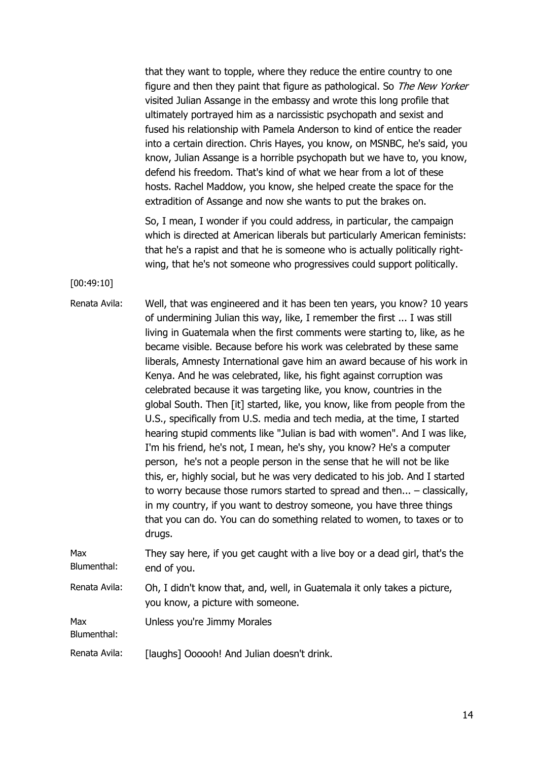that they want to topple, where they reduce the entire country to one figure and then they paint that figure as pathological. So The New Yorker visited Julian Assange in the embassy and wrote this long profile that ultimately portrayed him as a narcissistic psychopath and sexist and fused his relationship with Pamela Anderson to kind of entice the reader into a certain direction. Chris Hayes, you know, on MSNBC, he's said, you know, Julian Assange is a horrible psychopath but we have to, you know, defend his freedom. That's kind of what we hear from a lot of these hosts. Rachel Maddow, you know, she helped create the space for the extradition of Assange and now she wants to put the brakes on.

So, I mean, I wonder if you could address, in particular, the campaign which is directed at American liberals but particularly American feminists: that he's a rapist and that he is someone who is actually politically rightwing, that he's not someone who progressives could support politically.

[00:49:10]

Blumenthal:

Renata Avila: Well, that was engineered and it has been ten years, you know? 10 years of undermining Julian this way, like, I remember the first ... I was still living in Guatemala when the first comments were starting to, like, as he became visible. Because before his work was celebrated by these same liberals, Amnesty International gave him an award because of his work in Kenya. And he was celebrated, like, his fight against corruption was celebrated because it was targeting like, you know, countries in the global South. Then [it] started, like, you know, like from people from the U.S., specifically from U.S. media and tech media, at the time, I started hearing stupid comments like "Julian is bad with women". And I was like, I'm his friend, he's not, I mean, he's shy, you know? He's a computer person, he's not a people person in the sense that he will not be like this, er, highly social, but he was very dedicated to his job. And I started to worry because those rumors started to spread and then... – classically, in my country, if you want to destroy someone, you have three things that you can do. You can do something related to women, to taxes or to drugs. Max Blumenthal: They say here, if you get caught with a live boy or a dead girl, that's the end of you. Renata Avila: Oh, I didn't know that, and, well, in Guatemala it only takes a picture,

you know, a picture with someone.

Max Unless you're Jimmy Morales

Renata Avila: [laughs] Oooooh! And Julian doesn't drink.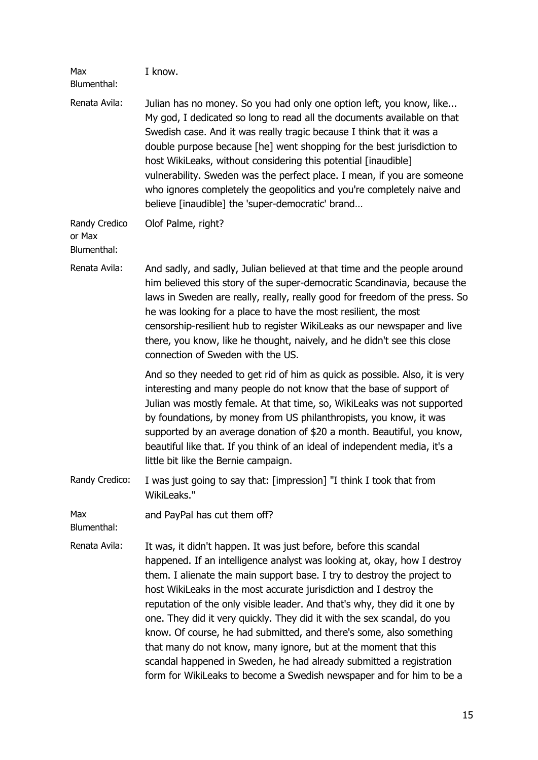| Max<br>Blumenthal:                     | I know.                                                                                                                                                                                                                                                                                                                                                                                                                                                                                                                                                                                                                                                                                                                                         |
|----------------------------------------|-------------------------------------------------------------------------------------------------------------------------------------------------------------------------------------------------------------------------------------------------------------------------------------------------------------------------------------------------------------------------------------------------------------------------------------------------------------------------------------------------------------------------------------------------------------------------------------------------------------------------------------------------------------------------------------------------------------------------------------------------|
| Renata Avila:                          | Julian has no money. So you had only one option left, you know, like<br>My god, I dedicated so long to read all the documents available on that<br>Swedish case. And it was really tragic because I think that it was a<br>double purpose because [he] went shopping for the best jurisdiction to<br>host WikiLeaks, without considering this potential [inaudible]<br>vulnerability. Sweden was the perfect place. I mean, if you are someone<br>who ignores completely the geopolitics and you're completely naive and<br>believe [inaudible] the 'super-democratic' brand                                                                                                                                                                    |
| Randy Credico<br>or Max<br>Blumenthal: | Olof Palme, right?                                                                                                                                                                                                                                                                                                                                                                                                                                                                                                                                                                                                                                                                                                                              |
| Renata Avila:                          | And sadly, and sadly, Julian believed at that time and the people around<br>him believed this story of the super-democratic Scandinavia, because the<br>laws in Sweden are really, really, really good for freedom of the press. So<br>he was looking for a place to have the most resilient, the most<br>censorship-resilient hub to register WikiLeaks as our newspaper and live<br>there, you know, like he thought, naively, and he didn't see this close<br>connection of Sweden with the US.                                                                                                                                                                                                                                              |
|                                        | And so they needed to get rid of him as quick as possible. Also, it is very<br>interesting and many people do not know that the base of support of<br>Julian was mostly female. At that time, so, WikiLeaks was not supported<br>by foundations, by money from US philanthropists, you know, it was<br>supported by an average donation of \$20 a month. Beautiful, you know,<br>beautiful like that. If you think of an ideal of independent media, it's a<br>little bit like the Bernie campaign.                                                                                                                                                                                                                                             |
| Randy Credico:                         | I was just going to say that: [impression] "I think I took that from<br>WikiLeaks."                                                                                                                                                                                                                                                                                                                                                                                                                                                                                                                                                                                                                                                             |
| Max<br>Blumenthal:                     | and PayPal has cut them off?                                                                                                                                                                                                                                                                                                                                                                                                                                                                                                                                                                                                                                                                                                                    |
| Renata Avila:                          | It was, it didn't happen. It was just before, before this scandal<br>happened. If an intelligence analyst was looking at, okay, how I destroy<br>them. I alienate the main support base. I try to destroy the project to<br>host WikiLeaks in the most accurate jurisdiction and I destroy the<br>reputation of the only visible leader. And that's why, they did it one by<br>one. They did it very quickly. They did it with the sex scandal, do you<br>know. Of course, he had submitted, and there's some, also something<br>that many do not know, many ignore, but at the moment that this<br>scandal happened in Sweden, he had already submitted a registration<br>form for WikiLeaks to become a Swedish newspaper and for him to be a |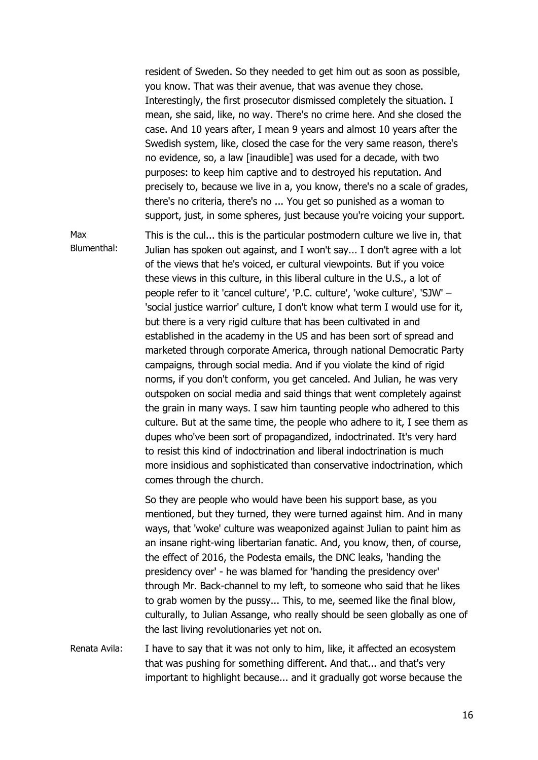resident of Sweden. So they needed to get him out as soon as possible, you know. That was their avenue, that was avenue they chose. Interestingly, the first prosecutor dismissed completely the situation. I mean, she said, like, no way. There's no crime here. And she closed the case. And 10 years after, I mean 9 years and almost 10 years after the Swedish system, like, closed the case for the very same reason, there's no evidence, so, a law [inaudible] was used for a decade, with two purposes: to keep him captive and to destroyed his reputation. And precisely to, because we live in a, you know, there's no a scale of grades, there's no criteria, there's no ... You get so punished as a woman to support, just, in some spheres, just because you're voicing your support.

Max Blumenthal: This is the cul... this is the particular postmodern culture we live in, that Julian has spoken out against, and I won't say... I don't agree with a lot of the views that he's voiced, er cultural viewpoints. But if you voice these views in this culture, in this liberal culture in the U.S., a lot of people refer to it 'cancel culture', 'P.C. culture', 'woke culture', 'SJW' – 'social justice warrior' culture, I don't know what term I would use for it, but there is a very rigid culture that has been cultivated in and established in the academy in the US and has been sort of spread and marketed through corporate America, through national Democratic Party campaigns, through social media. And if you violate the kind of rigid norms, if you don't conform, you get canceled. And Julian, he was very outspoken on social media and said things that went completely against the grain in many ways. I saw him taunting people who adhered to this culture. But at the same time, the people who adhere to it, I see them as dupes who've been sort of propagandized, indoctrinated. It's very hard to resist this kind of indoctrination and liberal indoctrination is much more insidious and sophisticated than conservative indoctrination, which comes through the church.

So they are people who would have been his support base, as you mentioned, but they turned, they were turned against him. And in many ways, that 'woke' culture was weaponized against Julian to paint him as an insane right-wing libertarian fanatic. And, you know, then, of course, the effect of 2016, the Podesta emails, the DNC leaks, 'handing the presidency over' - he was blamed for 'handing the presidency over' through Mr. Back-channel to my left, to someone who said that he likes to grab women by the pussy... This, to me, seemed like the final blow, culturally, to Julian Assange, who really should be seen globally as one of the last living revolutionaries yet not on.

Renata Avila: I have to say that it was not only to him, like, it affected an ecosystem that was pushing for something different. And that... and that's very important to highlight because... and it gradually got worse because the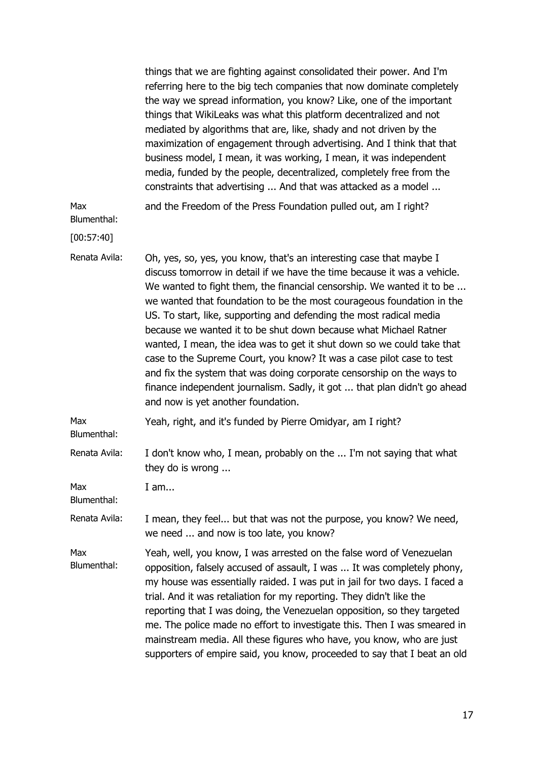|                    | things that we are fighting against consolidated their power. And I'm<br>referring here to the big tech companies that now dominate completely<br>the way we spread information, you know? Like, one of the important<br>things that WikiLeaks was what this platform decentralized and not<br>mediated by algorithms that are, like, shady and not driven by the<br>maximization of engagement through advertising. And I think that that<br>business model, I mean, it was working, I mean, it was independent<br>media, funded by the people, decentralized, completely free from the<br>constraints that advertising  And that was attacked as a model                                                                                                                                 |
|--------------------|--------------------------------------------------------------------------------------------------------------------------------------------------------------------------------------------------------------------------------------------------------------------------------------------------------------------------------------------------------------------------------------------------------------------------------------------------------------------------------------------------------------------------------------------------------------------------------------------------------------------------------------------------------------------------------------------------------------------------------------------------------------------------------------------|
| Max<br>Blumenthal: | and the Freedom of the Press Foundation pulled out, am I right?                                                                                                                                                                                                                                                                                                                                                                                                                                                                                                                                                                                                                                                                                                                            |
| [00:57:40]         |                                                                                                                                                                                                                                                                                                                                                                                                                                                                                                                                                                                                                                                                                                                                                                                            |
| Renata Avila:      | Oh, yes, so, yes, you know, that's an interesting case that maybe I<br>discuss tomorrow in detail if we have the time because it was a vehicle.<br>We wanted to fight them, the financial censorship. We wanted it to be<br>we wanted that foundation to be the most courageous foundation in the<br>US. To start, like, supporting and defending the most radical media<br>because we wanted it to be shut down because what Michael Ratner<br>wanted, I mean, the idea was to get it shut down so we could take that<br>case to the Supreme Court, you know? It was a case pilot case to test<br>and fix the system that was doing corporate censorship on the ways to<br>finance independent journalism. Sadly, it got  that plan didn't go ahead<br>and now is yet another foundation. |
| Max<br>Blumenthal: | Yeah, right, and it's funded by Pierre Omidyar, am I right?                                                                                                                                                                                                                                                                                                                                                                                                                                                                                                                                                                                                                                                                                                                                |
| Renata Avila:      | I don't know who, I mean, probably on the  I'm not saying that what<br>they do is wrong                                                                                                                                                                                                                                                                                                                                                                                                                                                                                                                                                                                                                                                                                                    |
| Max<br>Blumenthal: | I am                                                                                                                                                                                                                                                                                                                                                                                                                                                                                                                                                                                                                                                                                                                                                                                       |
| Renata Avila:      | I mean, they feel but that was not the purpose, you know? We need,<br>we need  and now is too late, you know?                                                                                                                                                                                                                                                                                                                                                                                                                                                                                                                                                                                                                                                                              |
| Max<br>Blumenthal: | Yeah, well, you know, I was arrested on the false word of Venezuelan<br>opposition, falsely accused of assault, I was  It was completely phony,<br>my house was essentially raided. I was put in jail for two days. I faced a<br>trial. And it was retaliation for my reporting. They didn't like the<br>reporting that I was doing, the Venezuelan opposition, so they targeted<br>me. The police made no effort to investigate this. Then I was smeared in<br>mainstream media. All these figures who have, you know, who are just<br>supporters of empire said, you know, proceeded to say that I beat an old                                                                                                                                                                           |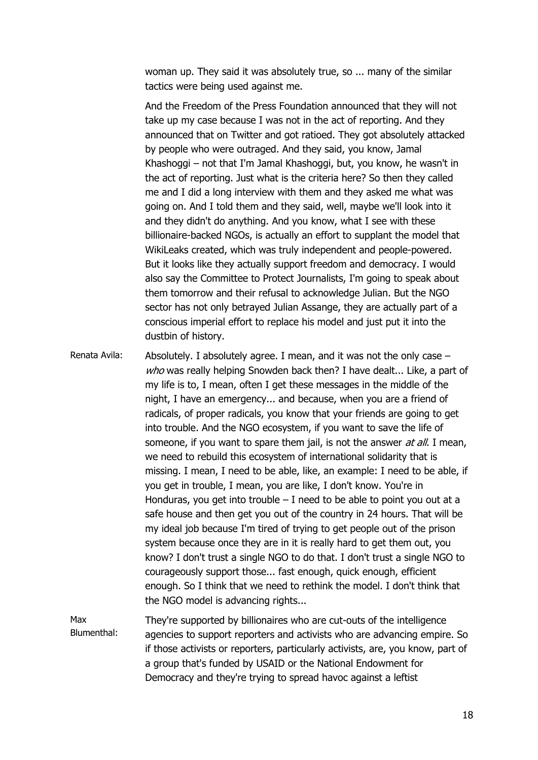woman up. They said it was absolutely true, so ... many of the similar tactics were being used against me.

And the Freedom of the Press Foundation announced that they will not take up my case because I was not in the act of reporting. And they announced that on Twitter and got ratioed. They got absolutely attacked by people who were outraged. And they said, you know, Jamal Khashoggi – not that I'm Jamal Khashoggi, but, you know, he wasn't in the act of reporting. Just what is the criteria here? So then they called me and I did a long interview with them and they asked me what was going on. And I told them and they said, well, maybe we'll look into it and they didn't do anything. And you know, what I see with these billionaire-backed NGOs, is actually an effort to supplant the model that WikiLeaks created, which was truly independent and people-powered. But it looks like they actually support freedom and democracy. I would also say the Committee to Protect Journalists, I'm going to speak about them tomorrow and their refusal to acknowledge Julian. But the NGO sector has not only betrayed Julian Assange, they are actually part of a conscious imperial effort to replace his model and just put it into the dustbin of history.

Renata Avila: Absolutely. I absolutely agree. I mean, and it was not the only case – who was really helping Snowden back then? I have dealt... Like, a part of my life is to, I mean, often I get these messages in the middle of the night, I have an emergency... and because, when you are a friend of radicals, of proper radicals, you know that your friends are going to get into trouble. And the NGO ecosystem, if you want to save the life of someone, if you want to spare them jail, is not the answer *at all*. I mean, we need to rebuild this ecosystem of international solidarity that is missing. I mean, I need to be able, like, an example: I need to be able, if you get in trouble, I mean, you are like, I don't know. You're in Honduras, you get into trouble  $- I$  need to be able to point you out at a safe house and then get you out of the country in 24 hours. That will be my ideal job because I'm tired of trying to get people out of the prison system because once they are in it is really hard to get them out, you know? I don't trust a single NGO to do that. I don't trust a single NGO to courageously support those... fast enough, quick enough, efficient enough. So I think that we need to rethink the model. I don't think that the NGO model is advancing rights...

Max Blumenthal: They're supported by billionaires who are cut-outs of the intelligence agencies to support reporters and activists who are advancing empire. So if those activists or reporters, particularly activists, are, you know, part of a group that's funded by USAID or the National Endowment for Democracy and they're trying to spread havoc against a leftist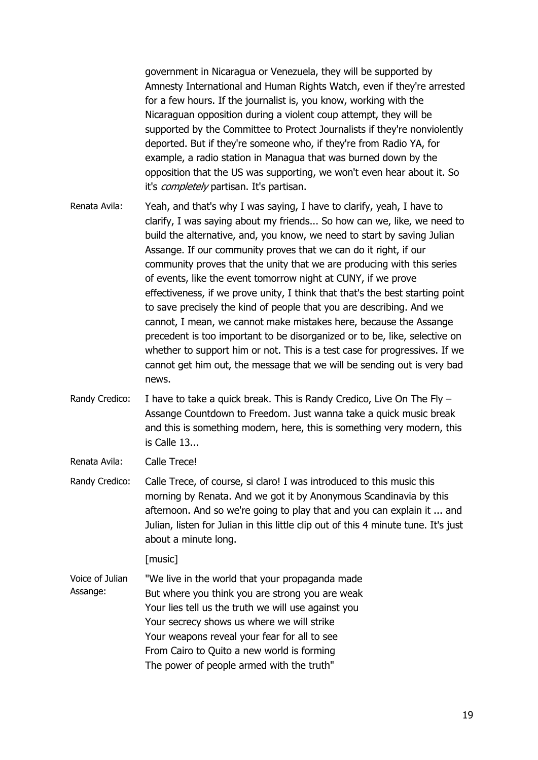government in Nicaragua or Venezuela, they will be supported by Amnesty International and Human Rights Watch, even if they're arrested for a few hours. If the journalist is, you know, working with the Nicaraguan opposition during a violent coup attempt, they will be supported by the Committee to Protect Journalists if they're nonviolently deported. But if they're someone who, if they're from Radio YA, for example, a radio station in Managua that was burned down by the opposition that the US was supporting, we won't even hear about it. So it's *completely* partisan. It's partisan.

- Renata Avila: Yeah, and that's why I was saying, I have to clarify, yeah, I have to clarify, I was saying about my friends... So how can we, like, we need to build the alternative, and, you know, we need to start by saving Julian Assange. If our community proves that we can do it right, if our community proves that the unity that we are producing with this series of events, like the event tomorrow night at CUNY, if we prove effectiveness, if we prove unity, I think that that's the best starting point to save precisely the kind of people that you are describing. And we cannot, I mean, we cannot make mistakes here, because the Assange precedent is too important to be disorganized or to be, like, selective on whether to support him or not. This is a test case for progressives. If we cannot get him out, the message that we will be sending out is very bad news.
- Randy Credico: I have to take a quick break. This is Randy Credico, Live On The Fly Assange Countdown to Freedom. Just wanna take a quick music break and this is something modern, here, this is something very modern, this is Calle 13...

Renata Avila: Calle Trece!

Randy Credico: Calle Trece, of course, si claro! I was introduced to this music this morning by Renata. And we got it by Anonymous Scandinavia by this afternoon. And so we're going to play that and you can explain it ... and Julian, listen for Julian in this little clip out of this 4 minute tune. It's just about a minute long.

[music]

Voice of Julian Assange: "We live in the world that your propaganda made But where you think you are strong you are weak Your lies tell us the truth we will use against you Your secrecy shows us where we will strike Your weapons reveal your fear for all to see From Cairo to Quito a new world is forming The power of people armed with the truth"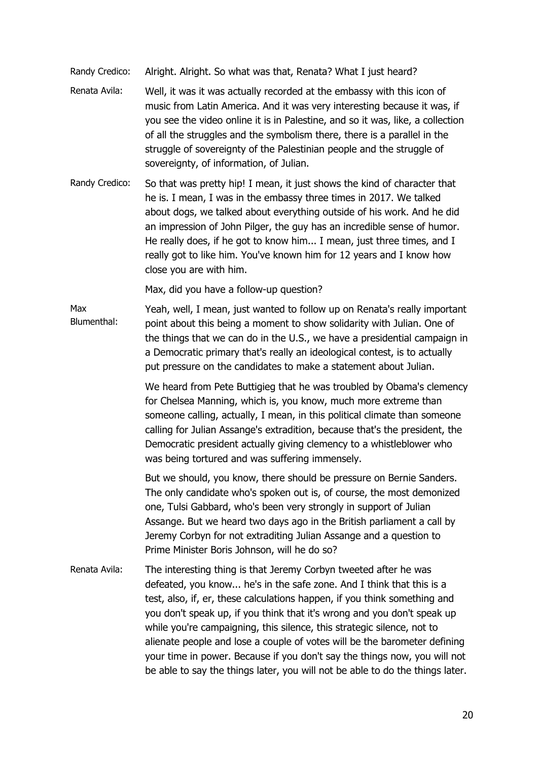- Randy Credico: Alright. Alright. So what was that, Renata? What I just heard?
- Renata Avila: Well, it was it was actually recorded at the embassy with this icon of music from Latin America. And it was very interesting because it was, if you see the video online it is in Palestine, and so it was, like, a collection of all the struggles and the symbolism there, there is a parallel in the struggle of sovereignty of the Palestinian people and the struggle of sovereignty, of information, of Julian.
- Randy Credico: So that was pretty hip! I mean, it just shows the kind of character that he is. I mean, I was in the embassy three times in 2017. We talked about dogs, we talked about everything outside of his work. And he did an impression of John Pilger, the guy has an incredible sense of humor. He really does, if he got to know him... I mean, just three times, and I really got to like him. You've known him for 12 years and I know how close you are with him.

Max, did you have a follow-up question?

Max Blumenthal: Yeah, well, I mean, just wanted to follow up on Renata's really important point about this being a moment to show solidarity with Julian. One of the things that we can do in the U.S., we have a presidential campaign in a Democratic primary that's really an ideological contest, is to actually put pressure on the candidates to make a statement about Julian.

> We heard from Pete Buttigieg that he was troubled by Obama's clemency for Chelsea Manning, which is, you know, much more extreme than someone calling, actually, I mean, in this political climate than someone calling for Julian Assange's extradition, because that's the president, the Democratic president actually giving clemency to a whistleblower who was being tortured and was suffering immensely.

But we should, you know, there should be pressure on Bernie Sanders. The only candidate who's spoken out is, of course, the most demonized one, Tulsi Gabbard, who's been very strongly in support of Julian Assange. But we heard two days ago in the British parliament a call by Jeremy Corbyn for not extraditing Julian Assange and a question to Prime Minister Boris Johnson, will he do so?

Renata Avila: The interesting thing is that Jeremy Corbyn tweeted after he was defeated, you know... he's in the safe zone. And I think that this is a test, also, if, er, these calculations happen, if you think something and you don't speak up, if you think that it's wrong and you don't speak up while you're campaigning, this silence, this strategic silence, not to alienate people and lose a couple of votes will be the barometer defining your time in power. Because if you don't say the things now, you will not be able to say the things later, you will not be able to do the things later.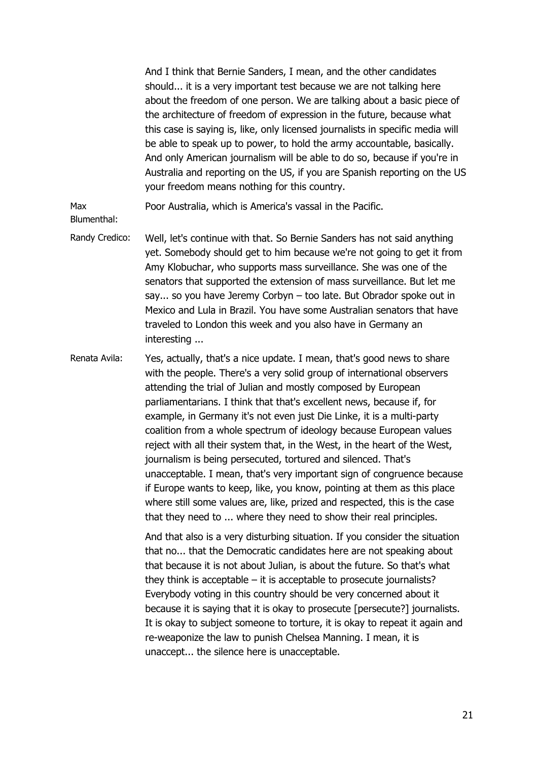And I think that Bernie Sanders, I mean, and the other candidates should... it is a very important test because we are not talking here about the freedom of one person. We are talking about a basic piece of the architecture of freedom of expression in the future, because what this case is saying is, like, only licensed journalists in specific media will be able to speak up to power, to hold the army accountable, basically. And only American journalism will be able to do so, because if you're in Australia and reporting on the US, if you are Spanish reporting on the US your freedom means nothing for this country.

Max Poor Australia, which is America's vassal in the Pacific.

Blumenthal:

- Randy Credico: Well, let's continue with that. So Bernie Sanders has not said anything yet. Somebody should get to him because we're not going to get it from Amy Klobuchar, who supports mass surveillance. She was one of the senators that supported the extension of mass surveillance. But let me say... so you have Jeremy Corbyn – too late. But Obrador spoke out in Mexico and Lula in Brazil. You have some Australian senators that have traveled to London this week and you also have in Germany an interesting ...
- Renata Avila: Yes, actually, that's a nice update. I mean, that's good news to share with the people. There's a very solid group of international observers attending the trial of Julian and mostly composed by European parliamentarians. I think that that's excellent news, because if, for example, in Germany it's not even just Die Linke, it is a multi-party coalition from a whole spectrum of ideology because European values reject with all their system that, in the West, in the heart of the West, journalism is being persecuted, tortured and silenced. That's unacceptable. I mean, that's very important sign of congruence because if Europe wants to keep, like, you know, pointing at them as this place where still some values are, like, prized and respected, this is the case that they need to ... where they need to show their real principles.

And that also is a very disturbing situation. If you consider the situation that no... that the Democratic candidates here are not speaking about that because it is not about Julian, is about the future. So that's what they think is acceptable – it is acceptable to prosecute journalists? Everybody voting in this country should be very concerned about it because it is saying that it is okay to prosecute [persecute?] journalists. It is okay to subject someone to torture, it is okay to repeat it again and re-weaponize the law to punish Chelsea Manning. I mean, it is unaccept... the silence here is unacceptable.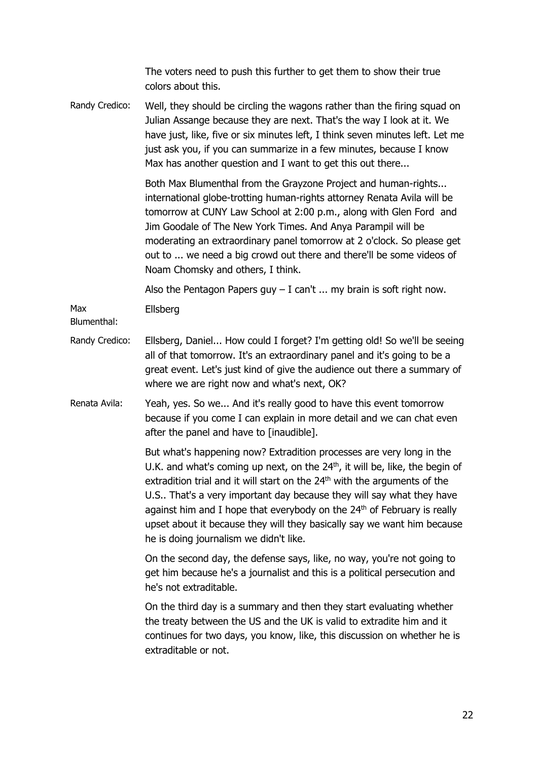The voters need to push this further to get them to show their true colors about this.

Randy Credico: Well, they should be circling the wagons rather than the firing squad on Julian Assange because they are next. That's the way I look at it. We have just, like, five or six minutes left, I think seven minutes left. Let me just ask you, if you can summarize in a few minutes, because I know Max has another question and I want to get this out there...

> Both Max Blumenthal from the Grayzone Project and human-rights... international globe-trotting human-rights attorney Renata Avila will be tomorrow at CUNY Law School at 2:00 p.m., along with Glen Ford and Jim Goodale of The New York Times. And Anya Parampil will be moderating an extraordinary panel tomorrow at 2 o'clock. So please get out to ... we need a big crowd out there and there'll be some videos of Noam Chomsky and others, I think.

Also the Pentagon Papers guy  $-$  I can't ... my brain is soft right now.

Max Ellsberg

Blumenthal:

- Randy Credico: Ellsberg, Daniel... How could I forget? I'm getting old! So we'll be seeing all of that tomorrow. It's an extraordinary panel and it's going to be a great event. Let's just kind of give the audience out there a summary of where we are right now and what's next, OK?
- Renata Avila: Yeah, yes. So we... And it's really good to have this event tomorrow because if you come I can explain in more detail and we can chat even after the panel and have to [inaudible].

But what's happening now? Extradition processes are very long in the U.K. and what's coming up next, on the  $24<sup>th</sup>$ , it will be, like, the begin of extradition trial and it will start on the  $24<sup>th</sup>$  with the arguments of the U.S.. That's a very important day because they will say what they have against him and I hope that everybody on the 24<sup>th</sup> of February is really upset about it because they will they basically say we want him because he is doing journalism we didn't like.

On the second day, the defense says, like, no way, you're not going to get him because he's a journalist and this is a political persecution and he's not extraditable.

On the third day is a summary and then they start evaluating whether the treaty between the US and the UK is valid to extradite him and it continues for two days, you know, like, this discussion on whether he is extraditable or not.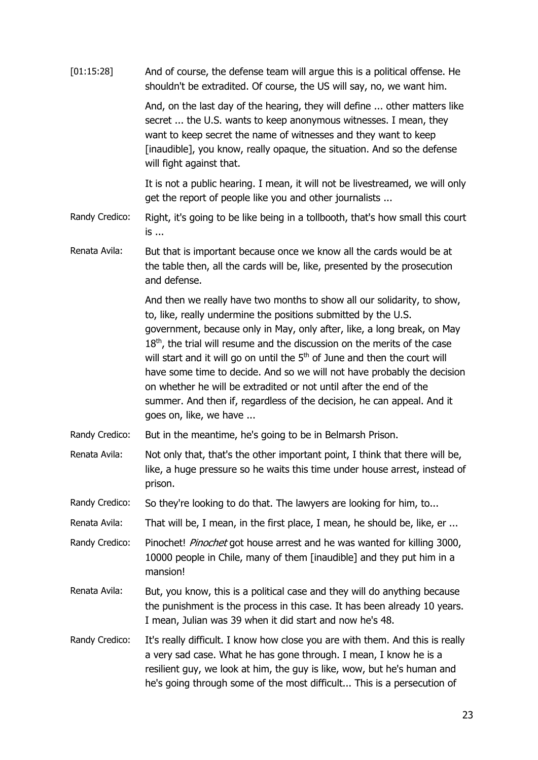| [01:15:28]     | And of course, the defense team will argue this is a political offense. He<br>shouldn't be extradited. Of course, the US will say, no, we want him.                                                                                                                                                                                                                                                                                                                                                                                                                                                                                                |
|----------------|----------------------------------------------------------------------------------------------------------------------------------------------------------------------------------------------------------------------------------------------------------------------------------------------------------------------------------------------------------------------------------------------------------------------------------------------------------------------------------------------------------------------------------------------------------------------------------------------------------------------------------------------------|
|                | And, on the last day of the hearing, they will define  other matters like<br>secret  the U.S. wants to keep anonymous witnesses. I mean, they<br>want to keep secret the name of witnesses and they want to keep<br>[inaudible], you know, really opaque, the situation. And so the defense<br>will fight against that.                                                                                                                                                                                                                                                                                                                            |
|                | It is not a public hearing. I mean, it will not be livestreamed, we will only<br>get the report of people like you and other journalists                                                                                                                                                                                                                                                                                                                                                                                                                                                                                                           |
| Randy Credico: | Right, it's going to be like being in a tollbooth, that's how small this court<br>is                                                                                                                                                                                                                                                                                                                                                                                                                                                                                                                                                               |
| Renata Avila:  | But that is important because once we know all the cards would be at<br>the table then, all the cards will be, like, presented by the prosecution<br>and defense.                                                                                                                                                                                                                                                                                                                                                                                                                                                                                  |
|                | And then we really have two months to show all our solidarity, to show,<br>to, like, really undermine the positions submitted by the U.S.<br>government, because only in May, only after, like, a long break, on May<br>$18th$ , the trial will resume and the discussion on the merits of the case<br>will start and it will go on until the 5 <sup>th</sup> of June and then the court will<br>have some time to decide. And so we will not have probably the decision<br>on whether he will be extradited or not until after the end of the<br>summer. And then if, regardless of the decision, he can appeal. And it<br>goes on, like, we have |
| Randy Credico: | But in the meantime, he's going to be in Belmarsh Prison.                                                                                                                                                                                                                                                                                                                                                                                                                                                                                                                                                                                          |
| Renata Avila:  | Not only that, that's the other important point, I think that there will be,<br>like, a huge pressure so he waits this time under house arrest, instead of<br>prison.                                                                                                                                                                                                                                                                                                                                                                                                                                                                              |
| Randy Credico: | So they're looking to do that. The lawyers are looking for him, to                                                                                                                                                                                                                                                                                                                                                                                                                                                                                                                                                                                 |
| Renata Avila:  | That will be, I mean, in the first place, I mean, he should be, like, er                                                                                                                                                                                                                                                                                                                                                                                                                                                                                                                                                                           |
| Randy Credico: | Pinochet! Pinochet got house arrest and he was wanted for killing 3000,<br>10000 people in Chile, many of them [inaudible] and they put him in a<br>mansion!                                                                                                                                                                                                                                                                                                                                                                                                                                                                                       |
| Renata Avila:  | But, you know, this is a political case and they will do anything because<br>the punishment is the process in this case. It has been already 10 years.<br>I mean, Julian was 39 when it did start and now he's 48.                                                                                                                                                                                                                                                                                                                                                                                                                                 |
| Randy Credico: | It's really difficult. I know how close you are with them. And this is really<br>a very sad case. What he has gone through. I mean, I know he is a<br>resilient guy, we look at him, the guy is like, wow, but he's human and<br>he's going through some of the most difficult This is a persecution of                                                                                                                                                                                                                                                                                                                                            |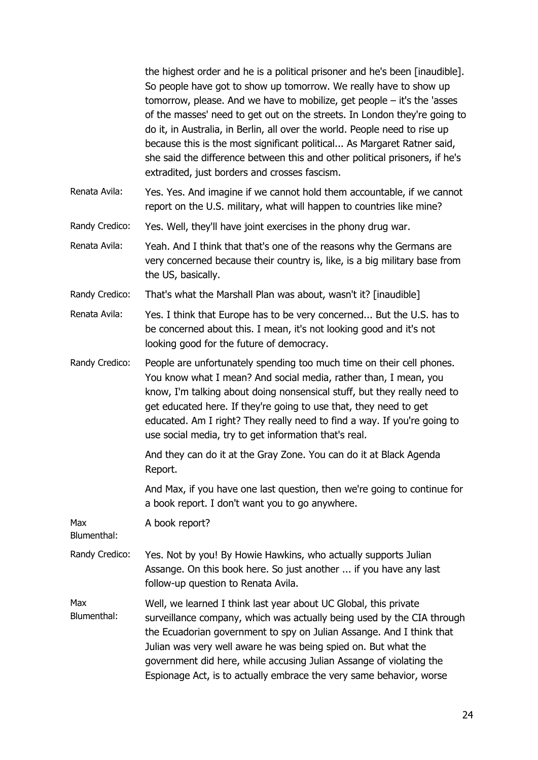|                    | the highest order and he is a political prisoner and he's been [inaudible].<br>So people have got to show up tomorrow. We really have to show up<br>tomorrow, please. And we have to mobilize, get people $-$ it's the 'asses<br>of the masses' need to get out on the streets. In London they're going to<br>do it, in Australia, in Berlin, all over the world. People need to rise up<br>because this is the most significant political As Margaret Ratner said,<br>she said the difference between this and other political prisoners, if he's<br>extradited, just borders and crosses fascism. |
|--------------------|-----------------------------------------------------------------------------------------------------------------------------------------------------------------------------------------------------------------------------------------------------------------------------------------------------------------------------------------------------------------------------------------------------------------------------------------------------------------------------------------------------------------------------------------------------------------------------------------------------|
| Renata Avila:      | Yes. Yes. And imagine if we cannot hold them accountable, if we cannot<br>report on the U.S. military, what will happen to countries like mine?                                                                                                                                                                                                                                                                                                                                                                                                                                                     |
| Randy Credico:     | Yes. Well, they'll have joint exercises in the phony drug war.                                                                                                                                                                                                                                                                                                                                                                                                                                                                                                                                      |
| Renata Avila:      | Yeah. And I think that that's one of the reasons why the Germans are<br>very concerned because their country is, like, is a big military base from<br>the US, basically.                                                                                                                                                                                                                                                                                                                                                                                                                            |
| Randy Credico:     | That's what the Marshall Plan was about, wasn't it? [inaudible]                                                                                                                                                                                                                                                                                                                                                                                                                                                                                                                                     |
| Renata Avila:      | Yes. I think that Europe has to be very concerned But the U.S. has to<br>be concerned about this. I mean, it's not looking good and it's not<br>looking good for the future of democracy.                                                                                                                                                                                                                                                                                                                                                                                                           |
| Randy Credico:     | People are unfortunately spending too much time on their cell phones.<br>You know what I mean? And social media, rather than, I mean, you<br>know, I'm talking about doing nonsensical stuff, but they really need to<br>get educated here. If they're going to use that, they need to get<br>educated. Am I right? They really need to find a way. If you're going to<br>use social media, try to get information that's real.                                                                                                                                                                     |
|                    | And they can do it at the Gray Zone. You can do it at Black Agenda<br>Report.                                                                                                                                                                                                                                                                                                                                                                                                                                                                                                                       |
|                    | And Max, if you have one last question, then we're going to continue for<br>a book report. I don't want you to go anywhere.                                                                                                                                                                                                                                                                                                                                                                                                                                                                         |
| Max<br>Blumenthal: | A book report?                                                                                                                                                                                                                                                                                                                                                                                                                                                                                                                                                                                      |
| Randy Credico:     | Yes. Not by you! By Howie Hawkins, who actually supports Julian<br>Assange. On this book here. So just another  if you have any last<br>follow-up question to Renata Avila.                                                                                                                                                                                                                                                                                                                                                                                                                         |
| Max<br>Blumenthal: | Well, we learned I think last year about UC Global, this private<br>surveillance company, which was actually being used by the CIA through<br>the Ecuadorian government to spy on Julian Assange. And I think that<br>Julian was very well aware he was being spied on. But what the<br>government did here, while accusing Julian Assange of violating the<br>Espionage Act, is to actually embrace the very same behavior, worse                                                                                                                                                                  |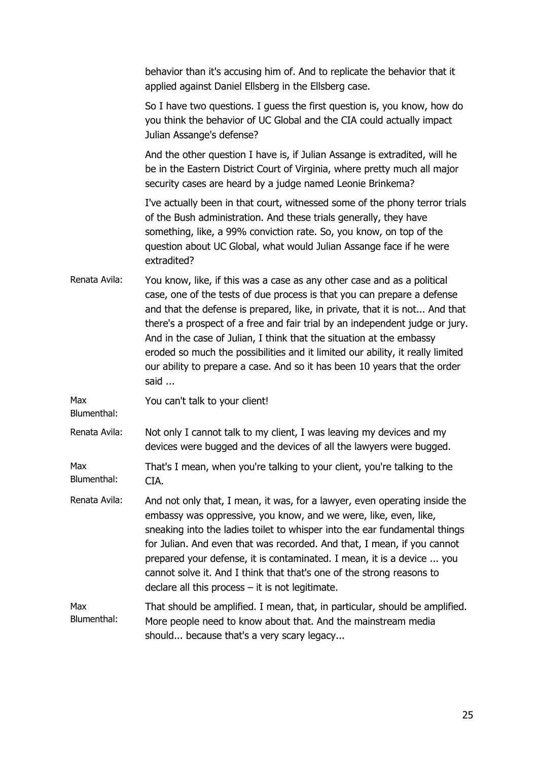|                    | behavior than it's accusing him of. And to replicate the behavior that it<br>applied against Daniel Ellsberg in the Ellsberg case.                                                                                                                                                                                                                                                                                                                                                                                                                               |
|--------------------|------------------------------------------------------------------------------------------------------------------------------------------------------------------------------------------------------------------------------------------------------------------------------------------------------------------------------------------------------------------------------------------------------------------------------------------------------------------------------------------------------------------------------------------------------------------|
|                    | So I have two questions. I guess the first question is, you know, how do<br>you think the behavior of UC Global and the CIA could actually impact<br>Julian Assange's defense?                                                                                                                                                                                                                                                                                                                                                                                   |
|                    | And the other question I have is, if Julian Assange is extradited, will he<br>be in the Eastern District Court of Virginia, where pretty much all major<br>security cases are heard by a judge named Leonie Brinkema?                                                                                                                                                                                                                                                                                                                                            |
|                    | I've actually been in that court, witnessed some of the phony terror trials<br>of the Bush administration. And these trials generally, they have<br>something, like, a 99% conviction rate. So, you know, on top of the<br>question about UC Global, what would Julian Assange face if he were<br>extradited?                                                                                                                                                                                                                                                    |
| Renata Avila:      | You know, like, if this was a case as any other case and as a political<br>case, one of the tests of due process is that you can prepare a defense<br>and that the defense is prepared, like, in private, that it is not And that<br>there's a prospect of a free and fair trial by an independent judge or jury.<br>And in the case of Julian, I think that the situation at the embassy<br>eroded so much the possibilities and it limited our ability, it really limited<br>our ability to prepare a case. And so it has been 10 years that the order<br>said |
| Max<br>Blumenthal: | You can't talk to your client!                                                                                                                                                                                                                                                                                                                                                                                                                                                                                                                                   |
| Renata Avila:      | Not only I cannot talk to my client, I was leaving my devices and my<br>devices were bugged and the devices of all the lawyers were bugged.                                                                                                                                                                                                                                                                                                                                                                                                                      |
| Max<br>Blumenthal: | That's I mean, when you're talking to your client, you're talking to the<br>CIA.                                                                                                                                                                                                                                                                                                                                                                                                                                                                                 |
| Renata Avila:      | And not only that, I mean, it was, for a lawyer, even operating inside the<br>embassy was oppressive, you know, and we were, like, even, like,<br>sneaking into the ladies toilet to whisper into the ear fundamental things<br>for Julian. And even that was recorded. And that, I mean, if you cannot<br>prepared your defense, it is contaminated. I mean, it is a device  you<br>cannot solve it. And I think that that's one of the strong reasons to<br>declare all this process $-$ it is not legitimate.                                                 |
| Max<br>Blumenthal: | That should be amplified. I mean, that, in particular, should be amplified.<br>More people need to know about that. And the mainstream media<br>should because that's a very scary legacy                                                                                                                                                                                                                                                                                                                                                                        |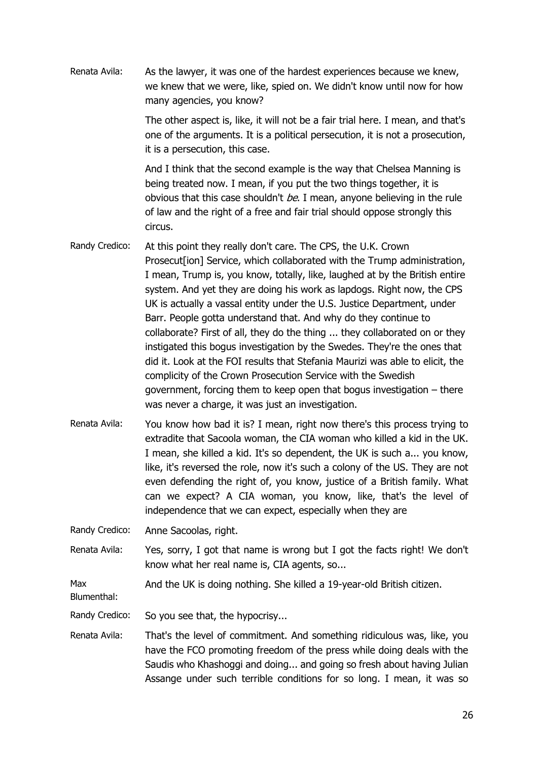Renata Avila: As the lawyer, it was one of the hardest experiences because we knew, we knew that we were, like, spied on. We didn't know until now for how many agencies, you know?

> The other aspect is, like, it will not be a fair trial here. I mean, and that's one of the arguments. It is a political persecution, it is not a prosecution, it is a persecution, this case.

> And I think that the second example is the way that Chelsea Manning is being treated now. I mean, if you put the two things together, it is obvious that this case shouldn't  $be$ . I mean, anyone believing in the rule of law and the right of a free and fair trial should oppose strongly this circus.

- Randy Credico: At this point they really don't care. The CPS, the U.K. Crown Prosecut<sup>[ion]</sup> Service, which collaborated with the Trump administration, I mean, Trump is, you know, totally, like, laughed at by the British entire system. And yet they are doing his work as lapdogs. Right now, the CPS UK is actually a vassal entity under the U.S. Justice Department, under Barr. People gotta understand that. And why do they continue to collaborate? First of all, they do the thing ... they collaborated on or they instigated this bogus investigation by the Swedes. They're the ones that did it. Look at the FOI results that Stefania Maurizi was able to elicit, the complicity of the Crown Prosecution Service with the Swedish government, forcing them to keep open that bogus investigation – there was never a charge, it was just an investigation.
- Renata Avila: You know how bad it is? I mean, right now there's this process trying to extradite that Sacoola woman, the CIA woman who killed a kid in the UK. I mean, she killed a kid. It's so dependent, the UK is such a... you know, like, it's reversed the role, now it's such a colony of the US. They are not even defending the right of, you know, justice of a British family. What can we expect? A CIA woman, you know, like, that's the level of independence that we can expect, especially when they are

Randy Credico: Anne Sacoolas, right.

Renata Avila: Yes, sorry, I got that name is wrong but I got the facts right! We don't know what her real name is, CIA agents, so...

Max And the UK is doing nothing. She killed a 19-year-old British citizen.

Blumenthal:

Randy Credico: So you see that, the hypocrisy...

Renata Avila: That's the level of commitment. And something ridiculous was, like, you have the FCO promoting freedom of the press while doing deals with the Saudis who Khashoggi and doing... and going so fresh about having Julian Assange under such terrible conditions for so long. I mean, it was so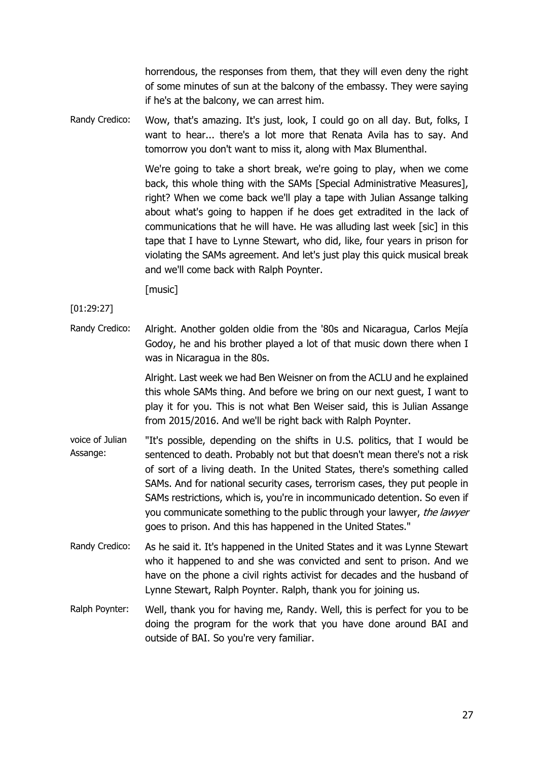horrendous, the responses from them, that they will even deny the right of some minutes of sun at the balcony of the embassy. They were saying if he's at the balcony, we can arrest him.

Randy Credico: Wow, that's amazing. It's just, look, I could go on all day. But, folks, I want to hear... there's a lot more that Renata Avila has to say. And tomorrow you don't want to miss it, along with Max Blumenthal.

> We're going to take a short break, we're going to play, when we come back, this whole thing with the SAMs [Special Administrative Measures], right? When we come back we'll play a tape with Julian Assange talking about what's going to happen if he does get extradited in the lack of communications that he will have. He was alluding last week [sic] in this tape that I have to Lynne Stewart, who did, like, four years in prison for violating the SAMs agreement. And let's just play this quick musical break and we'll come back with Ralph Poynter.

[music]

## [01:29:27]

Randy Credico: Alright. Another golden oldie from the '80s and Nicaragua, Carlos Mejía Godoy, he and his brother played a lot of that music down there when I was in Nicaragua in the 80s.

> Alright. Last week we had Ben Weisner on from the ACLU and he explained this whole SAMs thing. And before we bring on our next guest, I want to play it for you. This is not what Ben Weiser said, this is Julian Assange from 2015/2016. And we'll be right back with Ralph Poynter.

- voice of Julian Assange: "It's possible, depending on the shifts in U.S. politics, that I would be sentenced to death. Probably not but that doesn't mean there's not a risk of sort of a living death. In the United States, there's something called SAMs. And for national security cases, terrorism cases, they put people in SAMs restrictions, which is, you're in incommunicado detention. So even if you communicate something to the public through your lawyer, the lawyer goes to prison. And this has happened in the United States."
- Randy Credico: As he said it. It's happened in the United States and it was Lynne Stewart who it happened to and she was convicted and sent to prison. And we have on the phone a civil rights activist for decades and the husband of Lynne Stewart, Ralph Poynter. Ralph, thank you for joining us.
- Ralph Poynter: Well, thank you for having me, Randy. Well, this is perfect for you to be doing the program for the work that you have done around BAI and outside of BAI. So you're very familiar.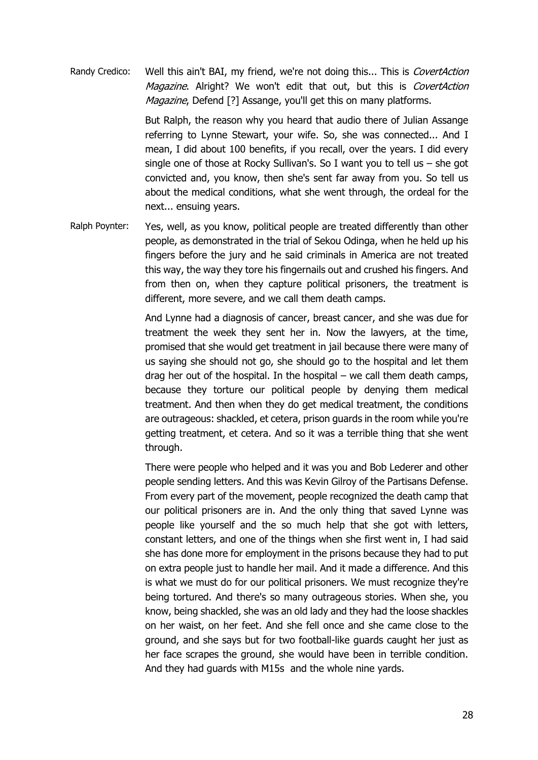Randy Credico: Well this ain't BAI, my friend, we're not doing this... This is CovertAction Magazine. Alright? We won't edit that out, but this is CovertAction Magazine, Defend [?] Assange, you'll get this on many platforms.

> But Ralph, the reason why you heard that audio there of Julian Assange referring to Lynne Stewart, your wife. So, she was connected... And I mean, I did about 100 benefits, if you recall, over the years. I did every single one of those at Rocky Sullivan's. So I want you to tell us – she got convicted and, you know, then she's sent far away from you. So tell us about the medical conditions, what she went through, the ordeal for the next... ensuing years.

Ralph Poynter: Yes, well, as you know, political people are treated differently than other people, as demonstrated in the trial of Sekou Odinga, when he held up his fingers before the jury and he said criminals in America are not treated this way, the way they tore his fingernails out and crushed his fingers. And from then on, when they capture political prisoners, the treatment is different, more severe, and we call them death camps.

> And Lynne had a diagnosis of cancer, breast cancer, and she was due for treatment the week they sent her in. Now the lawyers, at the time, promised that she would get treatment in jail because there were many of us saying she should not go, she should go to the hospital and let them drag her out of the hospital. In the hospital – we call them death camps, because they torture our political people by denying them medical treatment. And then when they do get medical treatment, the conditions are outrageous: shackled, et cetera, prison guards in the room while you're getting treatment, et cetera. And so it was a terrible thing that she went through.

> There were people who helped and it was you and Bob Lederer and other people sending letters. And this was Kevin Gilroy of the Partisans Defense. From every part of the movement, people recognized the death camp that our political prisoners are in. And the only thing that saved Lynne was people like yourself and the so much help that she got with letters, constant letters, and one of the things when she first went in, I had said she has done more for employment in the prisons because they had to put on extra people just to handle her mail. And it made a difference. And this is what we must do for our political prisoners. We must recognize they're being tortured. And there's so many outrageous stories. When she, you know, being shackled, she was an old lady and they had the loose shackles on her waist, on her feet. And she fell once and she came close to the ground, and she says but for two football-like guards caught her just as her face scrapes the ground, she would have been in terrible condition. And they had guards with M15s and the whole nine yards.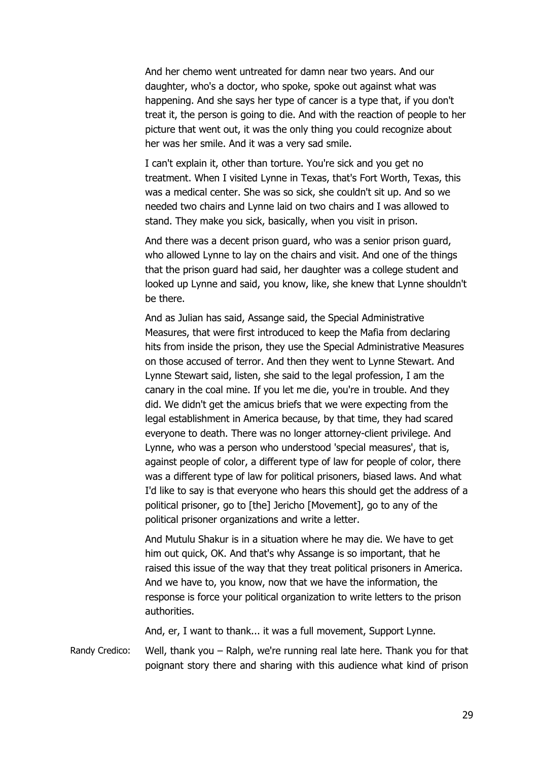And her chemo went untreated for damn near two years. And our daughter, who's a doctor, who spoke, spoke out against what was happening. And she says her type of cancer is a type that, if you don't treat it, the person is going to die. And with the reaction of people to her picture that went out, it was the only thing you could recognize about her was her smile. And it was a very sad smile.

I can't explain it, other than torture. You're sick and you get no treatment. When I visited Lynne in Texas, that's Fort Worth, Texas, this was a medical center. She was so sick, she couldn't sit up. And so we needed two chairs and Lynne laid on two chairs and I was allowed to stand. They make you sick, basically, when you visit in prison.

And there was a decent prison guard, who was a senior prison guard, who allowed Lynne to lay on the chairs and visit. And one of the things that the prison guard had said, her daughter was a college student and looked up Lynne and said, you know, like, she knew that Lynne shouldn't be there.

And as Julian has said, Assange said, the Special Administrative Measures, that were first introduced to keep the Mafia from declaring hits from inside the prison, they use the Special Administrative Measures on those accused of terror. And then they went to Lynne Stewart. And Lynne Stewart said, listen, she said to the legal profession, I am the canary in the coal mine. If you let me die, you're in trouble. And they did. We didn't get the amicus briefs that we were expecting from the legal establishment in America because, by that time, they had scared everyone to death. There was no longer attorney-client privilege. And Lynne, who was a person who understood 'special measures', that is, against people of color, a different type of law for people of color, there was a different type of law for political prisoners, biased laws. And what I'd like to say is that everyone who hears this should get the address of a political prisoner, go to [the] Jericho [Movement], go to any of the political prisoner organizations and write a letter.

And Mutulu Shakur is in a situation where he may die. We have to get him out quick, OK. And that's why Assange is so important, that he raised this issue of the way that they treat political prisoners in America. And we have to, you know, now that we have the information, the response is force your political organization to write letters to the prison authorities.

And, er, I want to thank... it was a full movement, Support Lynne.

Randy Credico: Well, thank you – Ralph, we're running real late here. Thank you for that poignant story there and sharing with this audience what kind of prison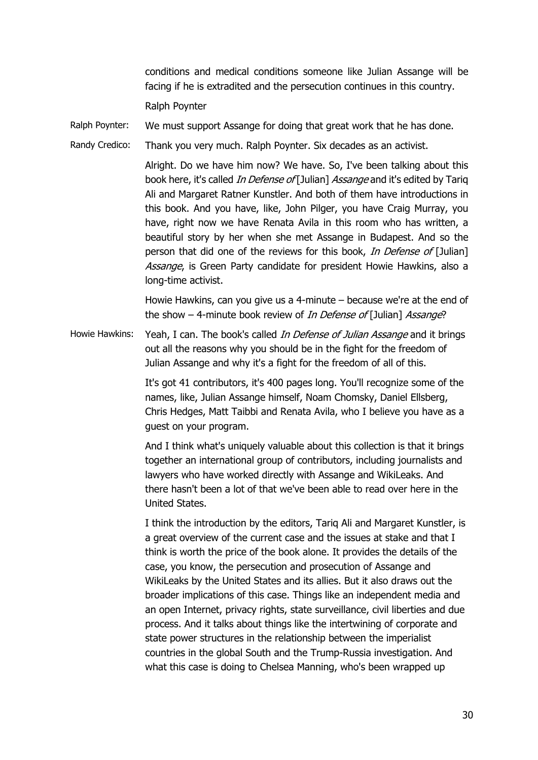conditions and medical conditions someone like Julian Assange will be facing if he is extradited and the persecution continues in this country.

Ralph Poynter

Ralph Poynter: We must support Assange for doing that great work that he has done.

Randy Credico: Thank you very much. Ralph Poynter. Six decades as an activist.

Alright. Do we have him now? We have. So, I've been talking about this book here, it's called *In Defense of* [Julian] Assange and it's edited by Tariq Ali and Margaret Ratner Kunstler. And both of them have introductions in this book. And you have, like, John Pilger, you have Craig Murray, you have, right now we have Renata Avila in this room who has written, a beautiful story by her when she met Assange in Budapest. And so the person that did one of the reviews for this book, In Defense of [Julian] Assange, is Green Party candidate for president Howie Hawkins, also a long-time activist.

Howie Hawkins, can you give us a 4-minute – because we're at the end of the show - 4-minute book review of *In Defense of* [Julian] Assange?

Howie Hawkins: Yeah, I can. The book's called *In Defense of Julian Assange* and it brings out all the reasons why you should be in the fight for the freedom of Julian Assange and why it's a fight for the freedom of all of this.

> It's got 41 contributors, it's 400 pages long. You'll recognize some of the names, like, Julian Assange himself, Noam Chomsky, Daniel Ellsberg, Chris Hedges, Matt Taibbi and Renata Avila, who I believe you have as a guest on your program.

> And I think what's uniquely valuable about this collection is that it brings together an international group of contributors, including journalists and lawyers who have worked directly with Assange and WikiLeaks. And there hasn't been a lot of that we've been able to read over here in the United States.

> I think the introduction by the editors, Tariq Ali and Margaret Kunstler, is a great overview of the current case and the issues at stake and that I think is worth the price of the book alone. It provides the details of the case, you know, the persecution and prosecution of Assange and WikiLeaks by the United States and its allies. But it also draws out the broader implications of this case. Things like an independent media and an open Internet, privacy rights, state surveillance, civil liberties and due process. And it talks about things like the intertwining of corporate and state power structures in the relationship between the imperialist countries in the global South and the Trump-Russia investigation. And what this case is doing to Chelsea Manning, who's been wrapped up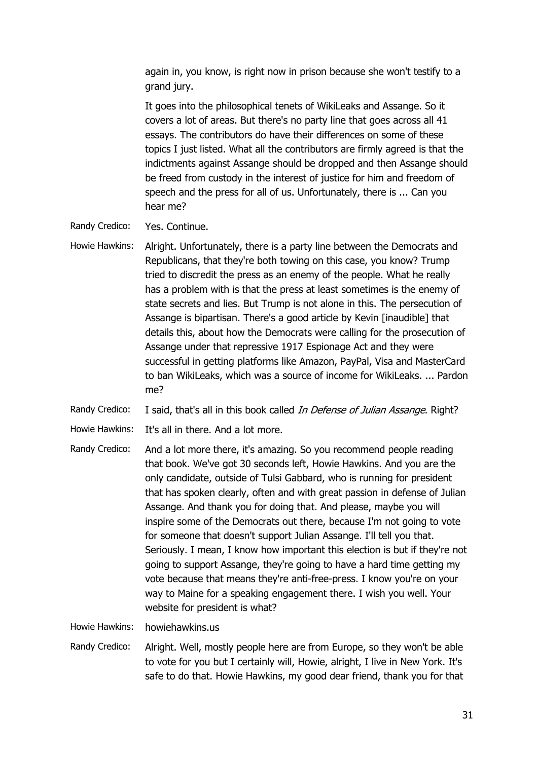again in, you know, is right now in prison because she won't testify to a grand jury.

It goes into the philosophical tenets of WikiLeaks and Assange. So it covers a lot of areas. But there's no party line that goes across all 41 essays. The contributors do have their differences on some of these topics I just listed. What all the contributors are firmly agreed is that the indictments against Assange should be dropped and then Assange should be freed from custody in the interest of justice for him and freedom of speech and the press for all of us. Unfortunately, there is ... Can you hear me?

- Randy Credico: Yes. Continue.
- Howie Hawkins: Alright. Unfortunately, there is a party line between the Democrats and Republicans, that they're both towing on this case, you know? Trump tried to discredit the press as an enemy of the people. What he really has a problem with is that the press at least sometimes is the enemy of state secrets and lies. But Trump is not alone in this. The persecution of Assange is bipartisan. There's a good article by Kevin [inaudible] that details this, about how the Democrats were calling for the prosecution of Assange under that repressive 1917 Espionage Act and they were successful in getting platforms like Amazon, PayPal, Visa and MasterCard to ban WikiLeaks, which was a source of income for WikiLeaks. ... Pardon me?

Randy Credico: I said, that's all in this book called In Defense of Julian Assange. Right?

- Howie Hawkins: It's all in there. And a lot more.
- Randy Credico: And a lot more there, it's amazing. So you recommend people reading that book. We've got 30 seconds left, Howie Hawkins. And you are the only candidate, outside of Tulsi Gabbard, who is running for president that has spoken clearly, often and with great passion in defense of Julian Assange. And thank you for doing that. And please, maybe you will inspire some of the Democrats out there, because I'm not going to vote for someone that doesn't support Julian Assange. I'll tell you that. Seriously. I mean, I know how important this election is but if they're not going to support Assange, they're going to have a hard time getting my vote because that means they're anti-free-press. I know you're on your way to Maine for a speaking engagement there. I wish you well. Your website for president is what?

Howie Hawkins: howiehawkins.us

Randy Credico: Alright. Well, mostly people here are from Europe, so they won't be able to vote for you but I certainly will, Howie, alright, I live in New York. It's safe to do that. Howie Hawkins, my good dear friend, thank you for that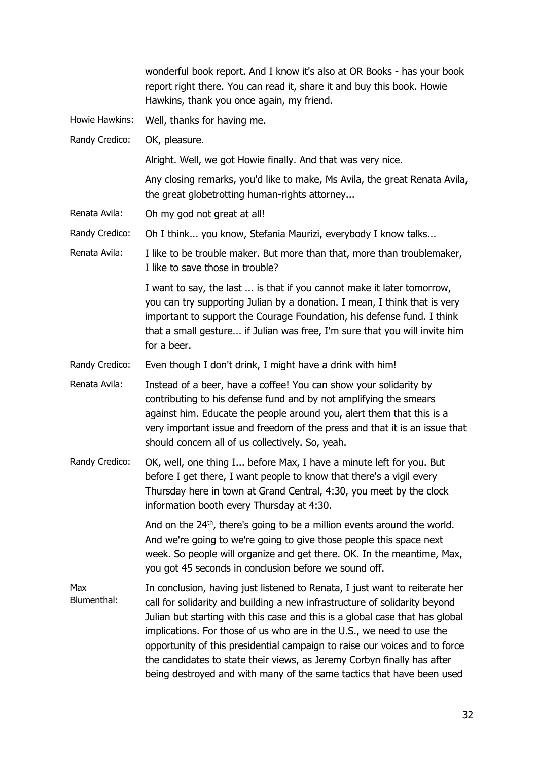|                    | wonderful book report. And I know it's also at OR Books - has your book<br>report right there. You can read it, share it and buy this book. Howie<br>Hawkins, thank you once again, my friend.                                                                                                                                                                                                                                                                                                                                                       |
|--------------------|------------------------------------------------------------------------------------------------------------------------------------------------------------------------------------------------------------------------------------------------------------------------------------------------------------------------------------------------------------------------------------------------------------------------------------------------------------------------------------------------------------------------------------------------------|
| Howie Hawkins:     | Well, thanks for having me.                                                                                                                                                                                                                                                                                                                                                                                                                                                                                                                          |
| Randy Credico:     | OK, pleasure.                                                                                                                                                                                                                                                                                                                                                                                                                                                                                                                                        |
|                    | Alright. Well, we got Howie finally. And that was very nice.                                                                                                                                                                                                                                                                                                                                                                                                                                                                                         |
|                    | Any closing remarks, you'd like to make, Ms Avila, the great Renata Avila,<br>the great globetrotting human-rights attorney                                                                                                                                                                                                                                                                                                                                                                                                                          |
| Renata Avila:      | Oh my god not great at all!                                                                                                                                                                                                                                                                                                                                                                                                                                                                                                                          |
| Randy Credico:     | Oh I think you know, Stefania Maurizi, everybody I know talks                                                                                                                                                                                                                                                                                                                                                                                                                                                                                        |
| Renata Avila:      | I like to be trouble maker. But more than that, more than troublemaker,<br>I like to save those in trouble?                                                                                                                                                                                                                                                                                                                                                                                                                                          |
|                    | I want to say, the last  is that if you cannot make it later tomorrow,<br>you can try supporting Julian by a donation. I mean, I think that is very<br>important to support the Courage Foundation, his defense fund. I think<br>that a small gesture if Julian was free, I'm sure that you will invite him<br>for a beer.                                                                                                                                                                                                                           |
| Randy Credico:     | Even though I don't drink, I might have a drink with him!                                                                                                                                                                                                                                                                                                                                                                                                                                                                                            |
| Renata Avila:      | Instead of a beer, have a coffee! You can show your solidarity by<br>contributing to his defense fund and by not amplifying the smears<br>against him. Educate the people around you, alert them that this is a<br>very important issue and freedom of the press and that it is an issue that<br>should concern all of us collectively. So, yeah.                                                                                                                                                                                                    |
| Randy Credico:     | OK, well, one thing I before Max, I have a minute left for you. But<br>before I get there, I want people to know that there's a vigil every<br>Thursday here in town at Grand Central, 4:30, you meet by the clock<br>information booth every Thursday at 4:30.                                                                                                                                                                                                                                                                                      |
|                    | And on the 24 <sup>th</sup> , there's going to be a million events around the world.<br>And we're going to we're going to give those people this space next<br>week. So people will organize and get there. OK. In the meantime, Max,<br>you got 45 seconds in conclusion before we sound off.                                                                                                                                                                                                                                                       |
| Max<br>Blumenthal: | In conclusion, having just listened to Renata, I just want to reiterate her<br>call for solidarity and building a new infrastructure of solidarity beyond<br>Julian but starting with this case and this is a global case that has global<br>implications. For those of us who are in the U.S., we need to use the<br>opportunity of this presidential campaign to raise our voices and to force<br>the candidates to state their views, as Jeremy Corbyn finally has after<br>being destroyed and with many of the same tactics that have been used |